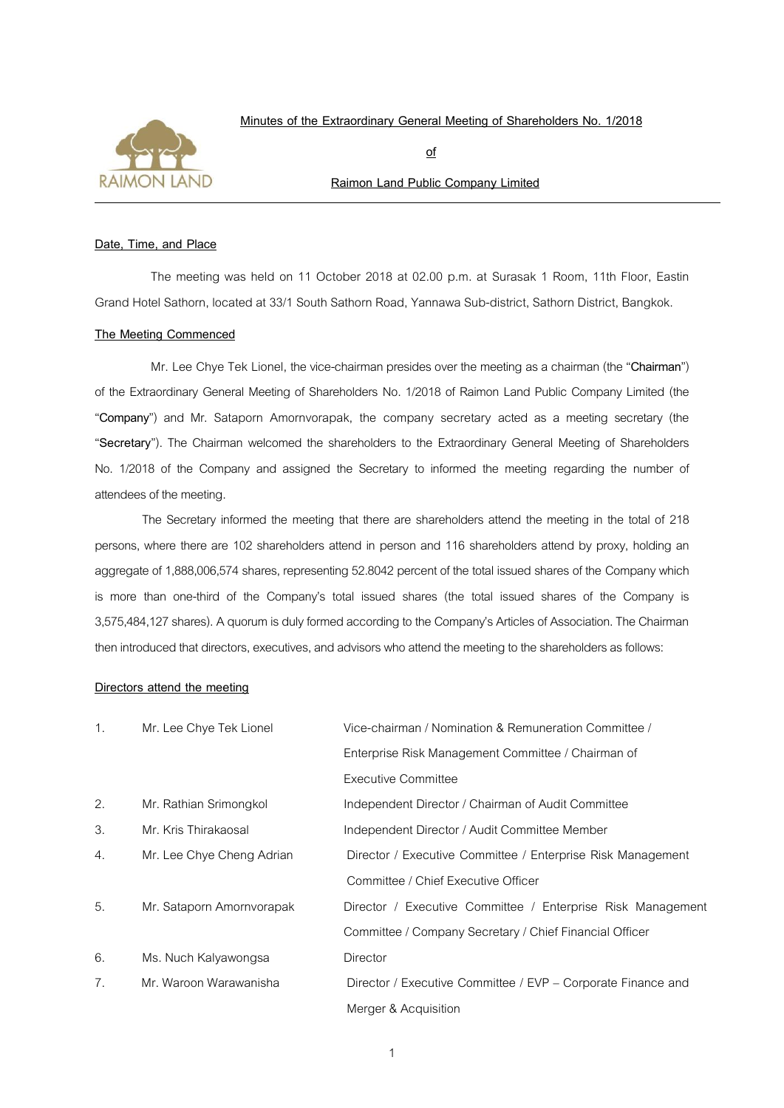

 **Minutes of the Extraordinary General Meeting of Shareholders No. 1/2018**

 **of**

# **Raimon Land Public Company Limited**

#### **Date, Time, and Place**

The meeting was held on 11 October 2018 at 02.00 p.m. at Surasak 1 Room, 11th Floor, Eastin Grand Hotel Sathorn, located at 33/1 South Sathorn Road, Yannawa Sub-district, Sathorn District, Bangkok.

#### **The Meeting Commenced**

Mr. Lee Chye Tek Lionel, the vice-chairman presides over the meeting as a chairman (the "**Chairman**") of the Extraordinary General Meeting of Shareholders No. 1/2018 of Raimon Land Public Company Limited (the "**Company**") and Mr. Sataporn Amornvorapak, the company secretary acted as a meeting secretary (the "**Secretary**"). The Chairman welcomed the shareholders to the Extraordinary General Meeting of Shareholders No. 1/2018 of the Company and assigned the Secretary to informed the meeting regarding the number of attendees of the meeting.

The Secretary informed the meeting that there are shareholders attend the meeting in the total of 218 persons, where there are 102 shareholders attend in person and 116 shareholders attend by proxy, holding an aggregate of 1,888,006,574 shares, representing 52.8042 percent of the total issued shares of the Company which is more than one-third of the Company's total issued shares (the total issued shares of the Company is 3,575,484,127 shares). A quorum is duly formed according to the Company's Articles of Association. The Chairman then introduced that directors, executives, and advisors who attend the meeting to the shareholders as follows:

#### **Directors attend the meeting**

| 1. | Mr. Lee Chye Tek Lionel   | Vice-chairman / Nomination & Remuneration Committee /        |  |
|----|---------------------------|--------------------------------------------------------------|--|
|    |                           | Enterprise Risk Management Committee / Chairman of           |  |
|    |                           | Executive Committee                                          |  |
| 2. | Mr. Rathian Srimongkol    | Independent Director / Chairman of Audit Committee           |  |
| 3. | Mr. Kris Thirakaosal      | Independent Director / Audit Committee Member                |  |
| 4. | Mr. Lee Chye Cheng Adrian | Director / Executive Committee / Enterprise Risk Management  |  |
|    |                           | Committee / Chief Executive Officer                          |  |
| 5. | Mr. Sataporn Amornvorapak | Director / Executive Committee / Enterprise Risk Management  |  |
|    |                           | Committee / Company Secretary / Chief Financial Officer      |  |
| 6. | Ms. Nuch Kalyawongsa      | <b>Director</b>                                              |  |
| 7. | Mr. Waroon Warawanisha    | Director / Executive Committee / EVP – Corporate Finance and |  |
|    |                           | Merger & Acquisition                                         |  |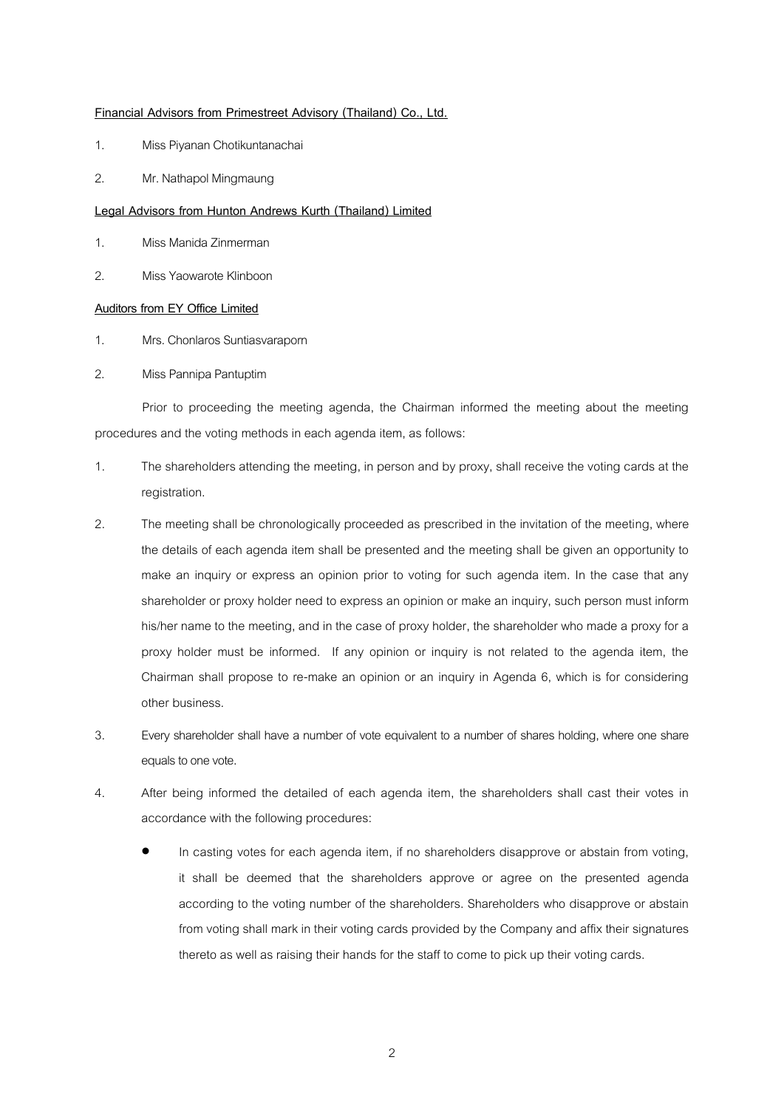#### **Financial Advisors from Primestreet Advisory (Thailand) Co., Ltd.**

- 1. Miss Piyanan Chotikuntanachai
- 2. Mr. Nathapol Mingmaung

#### **Legal Advisors from Hunton Andrews Kurth (Thailand) Limited**

- 1. Miss Manida Zinmerman
- 2. Miss Yaowarote Klinboon

### **Auditors from EY Office Limited**

- 1. Mrs. Chonlaros Suntiasvaraporn
- 2. Miss Pannipa Pantuptim

Prior to proceeding the meeting agenda, the Chairman informed the meeting about the meeting procedures and the voting methods in each agenda item, as follows:

- 1. The shareholders attending the meeting, in person and by proxy, shall receive the voting cards at the registration.
- 2. The meeting shall be chronologically proceeded as prescribed in the invitation of the meeting, where the details of each agenda item shall be presented and the meeting shall be given an opportunity to make an inquiry or express an opinion prior to voting for such agenda item. In the case that any shareholder or proxy holder need to express an opinion or make an inquiry, such person must inform his/her name to the meeting, and in the case of proxy holder, the shareholder who made a proxy for a proxy holder must be informed. If any opinion or inquiry is not related to the agenda item, the Chairman shall propose to re-make an opinion or an inquiry in Agenda 6, which is for considering other business.
- 3. Every shareholder shall have a number of vote equivalent to a number of shares holding, where one share equals to one vote.
- 4. After being informed the detailed of each agenda item, the shareholders shall cast their votes in accordance with the following procedures:
	- In casting votes for each agenda item, if no shareholders disapprove or abstain from voting, it shall be deemed that the shareholders approve or agree on the presented agenda according to the voting number of the shareholders. Shareholders who disapprove or abstain from voting shall mark in their voting cards provided by the Company and affix their signatures thereto as well as raising their hands for the staff to come to pick up their voting cards.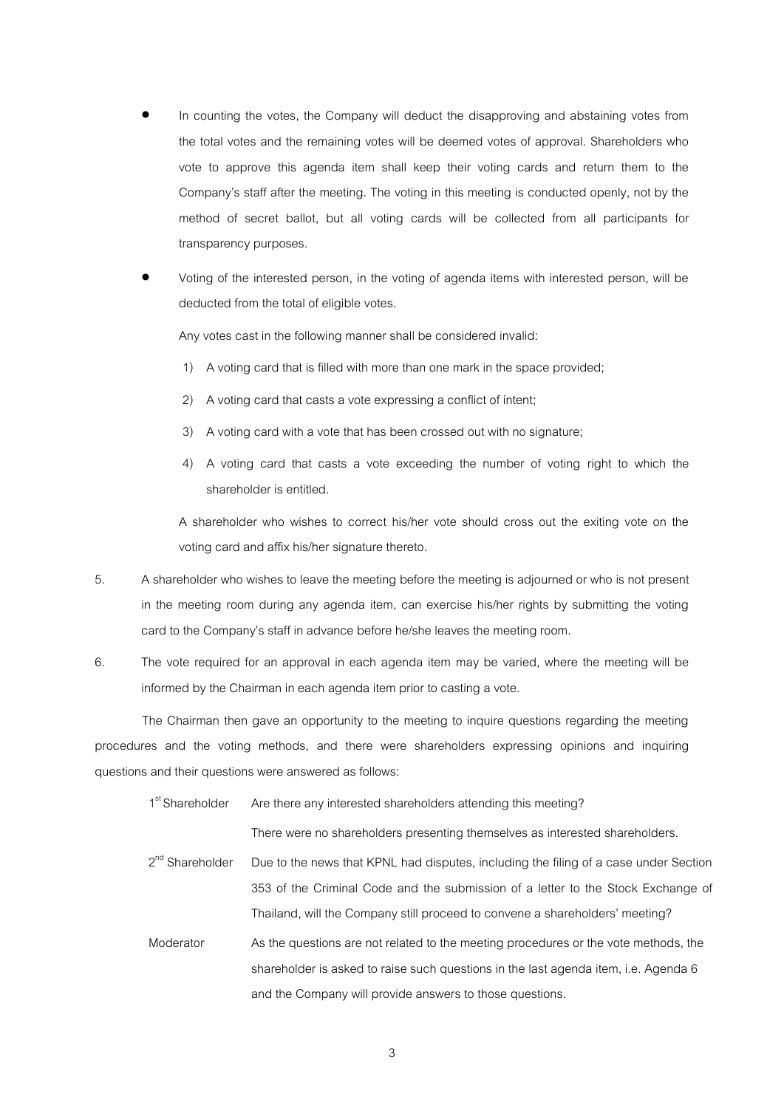- In counting the votes, the Company will deduct the disapproving and abstaining votes from the total votes and the remaining votes will be deemed votes of approval. Shareholders who vote to approve this agenda item shall keep their voting cards and return them to the Company's staff after the meeting. The voting in this meeting is conducted openly, not by the method of secret ballot, but all voting cards will be collected from all participants for transparency purposes.
- Voting of the interested person, in the voting of agenda items with interested person, will be deducted from the total of eligible votes.

Any votes cast in the following manner shall be considered invalid:

- 1) A voting card that is filled with more than one mark in the space provided;
- 2) A voting card that casts a vote expressing a conflict of intent;
- 3) A voting card with a vote that has been crossed out with no signature;
- 4) A voting card that casts a vote exceeding the number of voting right to which the shareholder is entitled.

A shareholder who wishes to correct his/her vote should cross out the exiting vote on the voting card and affix his/her signature thereto.

- 5. A shareholder who wishes to leave the meeting before the meeting is adjourned or who is not present in the meeting room during any agenda item, can exercise his/her rights by submitting the voting card to the Company's staff in advance before he/she leaves the meeting room.
- 6. The vote required for an approval in each agenda item may be varied, where the meeting will be informed by the Chairman in each agenda item prior to casting a vote.

The Chairman then gave an opportunity to the meeting to inquire questions regarding the meeting procedures and the voting methods, and there were shareholders expressing opinions and inquiring questions and their questions were answered as follows:

1<sup>st</sup> Shareholder Are there any interested shareholders attending this meeting?

There were no shareholders presenting themselves as interested shareholders.

- $2^{nd}$  Shareholder Due to the news that KPNL had disputes, including the filing of a case under Section 353 of the Criminal Code and the submission of a letter to the Stock Exchange of Thailand, will the Company still proceed to convene a shareholders' meeting?
- Moderator As the questions are not related to the meeting procedures or the vote methods, the shareholder is asked to raise such questions in the last agenda item, i.e. Agenda 6 and the Company will provide answers to those questions.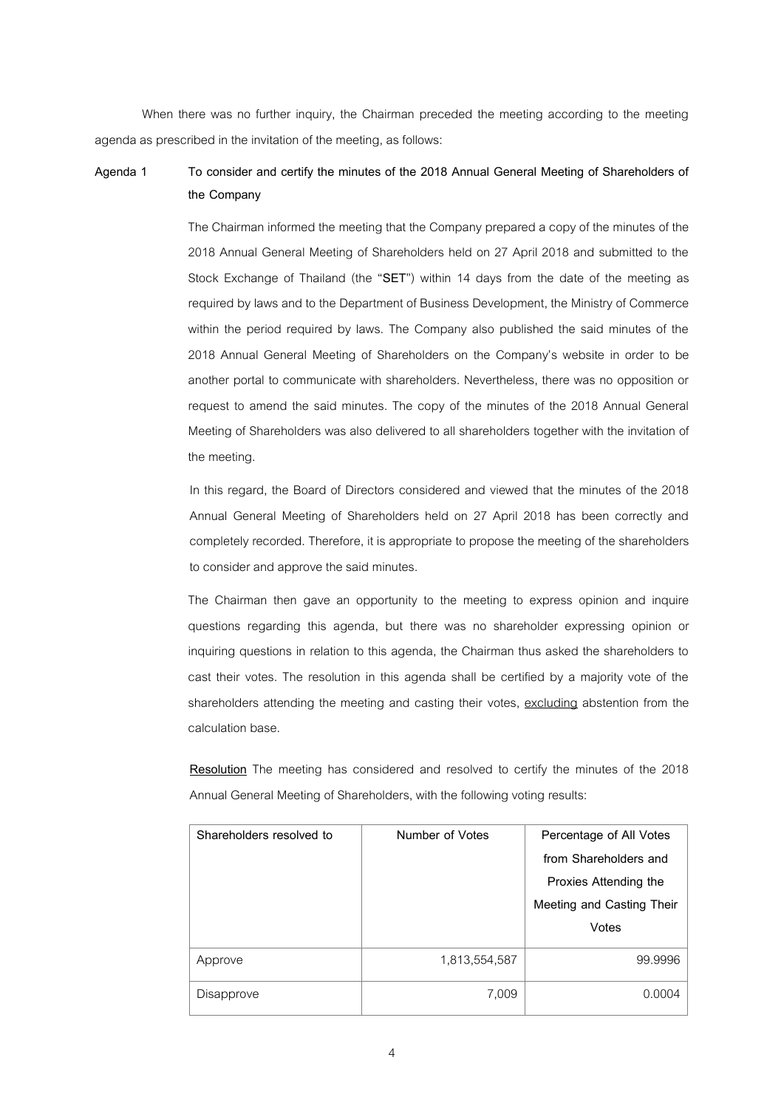When there was no further inquiry, the Chairman preceded the meeting according to the meeting agenda as prescribed in the invitation of the meeting, as follows:

# **Agenda 1 To consider and certify the minutes of the 2018 Annual General Meeting of Shareholders of the Company**

The Chairman informed the meeting that the Company prepared a copy of the minutes of the 2018 Annual General Meeting of Shareholders held on 27 April 2018 and submitted to the Stock Exchange of Thailand (the "**SET**") within 14 days from the date of the meeting as required by laws and to the Department of Business Development, the Ministry of Commerce within the period required by laws. The Company also published the said minutes of the 2018 Annual General Meeting of Shareholders on the Company's website in order to be another portal to communicate with shareholders. Nevertheless, there was no opposition or request to amend the said minutes. The copy of the minutes of the 2018 Annual General Meeting of Shareholders was also delivered to all shareholders together with the invitation of the meeting.

In this regard, the Board of Directors considered and viewed that the minutes of the 2018 Annual General Meeting of Shareholders held on 27 April 2018 has been correctly and completely recorded. Therefore, it is appropriate to propose the meeting of the shareholders to consider and approve the said minutes.

The Chairman then gave an opportunity to the meeting to express opinion and inquire questions regarding this agenda, but there was no shareholder expressing opinion or inquiring questions in relation to this agenda, the Chairman thus asked the shareholders to cast their votes. The resolution in this agenda shall be certified by a majority vote of the shareholders attending the meeting and casting their votes, excluding abstention from the calculation base.

**Resolution** The meeting has considered and resolved to certify the minutes of the 2018 Annual General Meeting of Shareholders, with the following voting results:

| Shareholders resolved to | Number of Votes | Percentage of All Votes   |
|--------------------------|-----------------|---------------------------|
|                          |                 | from Shareholders and     |
|                          |                 | Proxies Attending the     |
|                          |                 | Meeting and Casting Their |
|                          |                 |                           |
|                          |                 | Votes                     |
| Approve                  | 1,813,554,587   | 99.9996                   |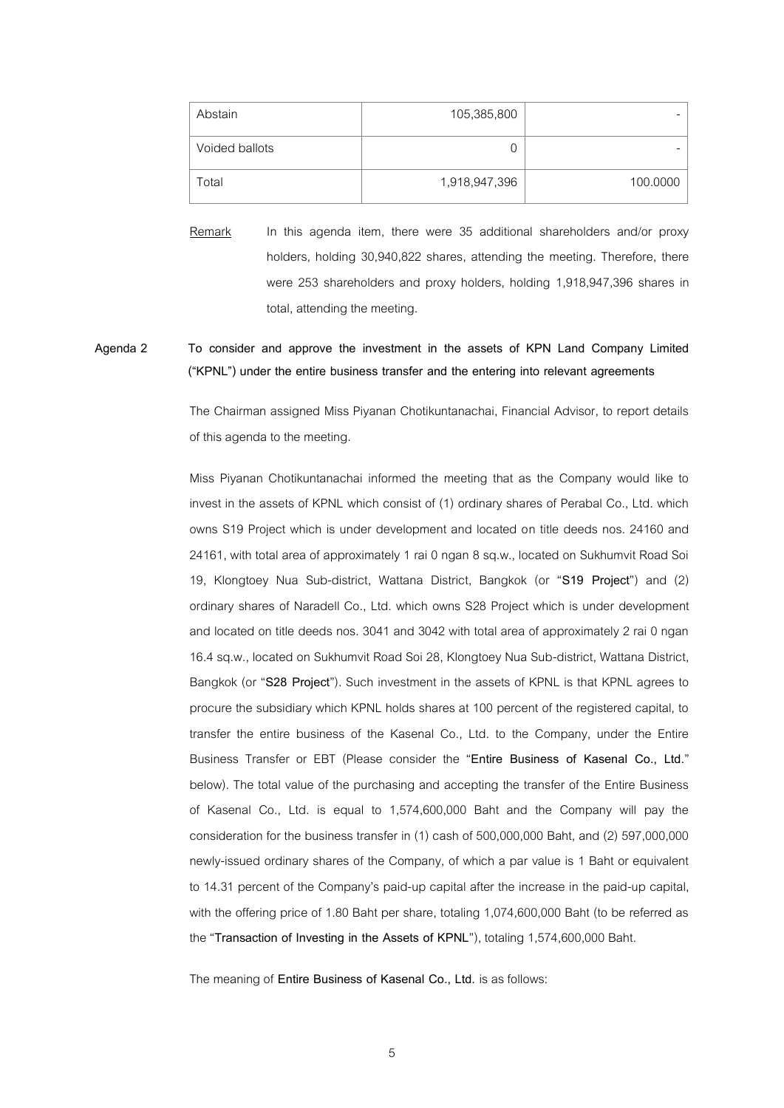| Abstain        | 105,385,800   |          |
|----------------|---------------|----------|
| Voided ballots |               |          |
| Total          | 1,918,947,396 | 100.0000 |

Remark In this agenda item, there were 35 additional shareholders and/or proxy holders, holding 30,940,822 shares, attending the meeting. Therefore, there were 253 shareholders and proxy holders, holding 1,918,947,396 shares in total, attending the meeting.

**Agenda 2 To consider and approve the investment in the assets of KPN Land Company Limited ("KPNL") under the entire business transfer and the entering into relevant agreements**

> The Chairman assigned Miss Piyanan Chotikuntanachai, Financial Advisor, to report details of this agenda to the meeting.

> Miss Piyanan Chotikuntanachai informed the meeting that as the Company would like to invest in the assets of KPNL which consist of (1) ordinary shares of Perabal Co., Ltd. which owns S19 Project which is under development and located on title deeds nos. 24160 and 24161, with total area of approximately 1 rai 0 ngan 8 sq.w., located on Sukhumvit Road Soi 19, Klongtoey Nua Sub-district, Wattana District, Bangkok (or "**S19 Project**") and (2) ordinary shares of Naradell Co., Ltd. which owns S28 Project which is under development and located on title deeds nos. 3041 and 3042 with total area of approximately 2 rai 0 ngan 16.4 sq.w., located on Sukhumvit Road Soi 28, Klongtoey Nua Sub-district, Wattana District, Bangkok (or "**S28 Project**"). Such investment in the assets of KPNL is that KPNL agrees to procure the subsidiary which KPNL holds shares at 100 percent of the registered capital, to transfer the entire business of the Kasenal Co., Ltd. to the Company, under the Entire Business Transfer or EBT (Please consider the "**Entire Business of Kasenal Co., Ltd.**" below). The total value of the purchasing and accepting the transfer of the Entire Business of Kasenal Co., Ltd. is equal to 1,574,600,000 Baht and the Company will pay the consideration for the business transfer in (1) cash of 500,000,000 Baht, and (2) 597,000,000 newly-issued ordinary shares of the Company, of which a par value is 1 Baht or equivalent to 14.31 percent of the Company's paid-up capital after the increase in the paid-up capital, with the offering price of 1.80 Baht per share, totaling 1,074,600,000 Baht (to be referred as the "**Transaction of Investing in the Assets of KPNL**"), totaling 1,574,600,000 Baht.

The meaning of **Entire Business of Kasenal Co., Ltd.** is as follows: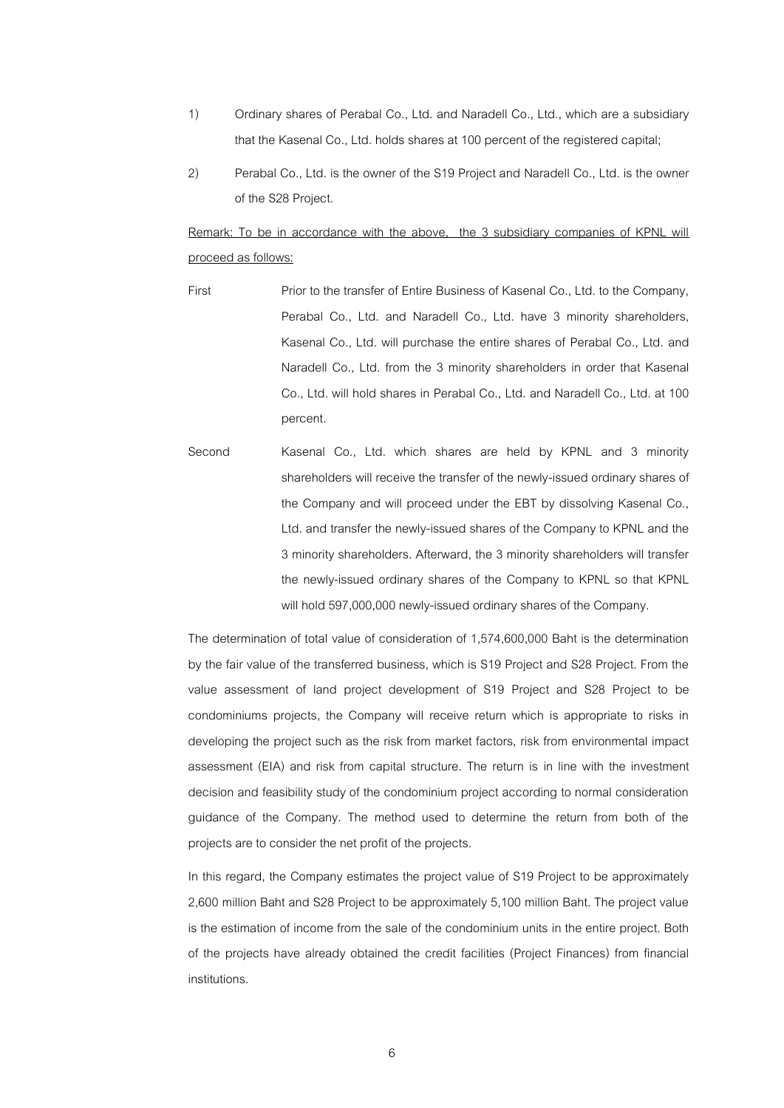- 1) Ordinary shares of Perabal Co., Ltd. and Naradell Co., Ltd., which are a subsidiary that the Kasenal Co., Ltd. holds shares at 100 percent of the registered capital;
- 2) Perabal Co., Ltd. is the owner of the S19 Project and Naradell Co., Ltd. is the owner of the S28 Project.

Remark: To be in accordance with the above, the 3 subsidiary companies of KPNL will proceed as follows:

- First Prior to the transfer of Entire Business of Kasenal Co., Ltd. to the Company, Perabal Co., Ltd. and Naradell Co., Ltd. have 3 minority shareholders, Kasenal Co., Ltd. will purchase the entire shares of Perabal Co., Ltd. and Naradell Co., Ltd. from the 3 minority shareholders in order that Kasenal Co., Ltd. will hold shares in Perabal Co., Ltd. and Naradell Co., Ltd. at 100 percent.
- Second Kasenal Co., Ltd. which shares are held by KPNL and 3 minority shareholders will receive the transfer of the newly-issued ordinary shares of the Company and will proceed under the EBT by dissolving Kasenal Co., Ltd. and transfer the newly-issued shares of the Company to KPNL and the 3 minority shareholders. Afterward, the 3 minority shareholders will transfer the newly-issued ordinary shares of the Company to KPNL so that KPNL will hold 597,000,000 newly-issued ordinary shares of the Company.

The determination of total value of consideration of 1,574,600,000 Baht is the determination by the fair value of the transferred business, which is S19 Project and S28 Project. From the value assessment of land project development of S19 Project and S28 Project to be condominiums projects, the Company will receive return which is appropriate to risks in developing the project such as the risk from market factors, risk from environmental impact assessment (EIA) and risk from capital structure. The return is in line with the investment decision and feasibility study of the condominium project according to normal consideration guidance of the Company. The method used to determine the return from both of the projects are to consider the net profit of the projects.

In this regard, the Company estimates the project value of S19 Project to be approximately 2,600 million Baht and S28 Project to be approximately 5,100 million Baht. The project value is the estimation of income from the sale of the condominium units in the entire project. Both of the projects have already obtained the credit facilities (Project Finances) from financial institutions.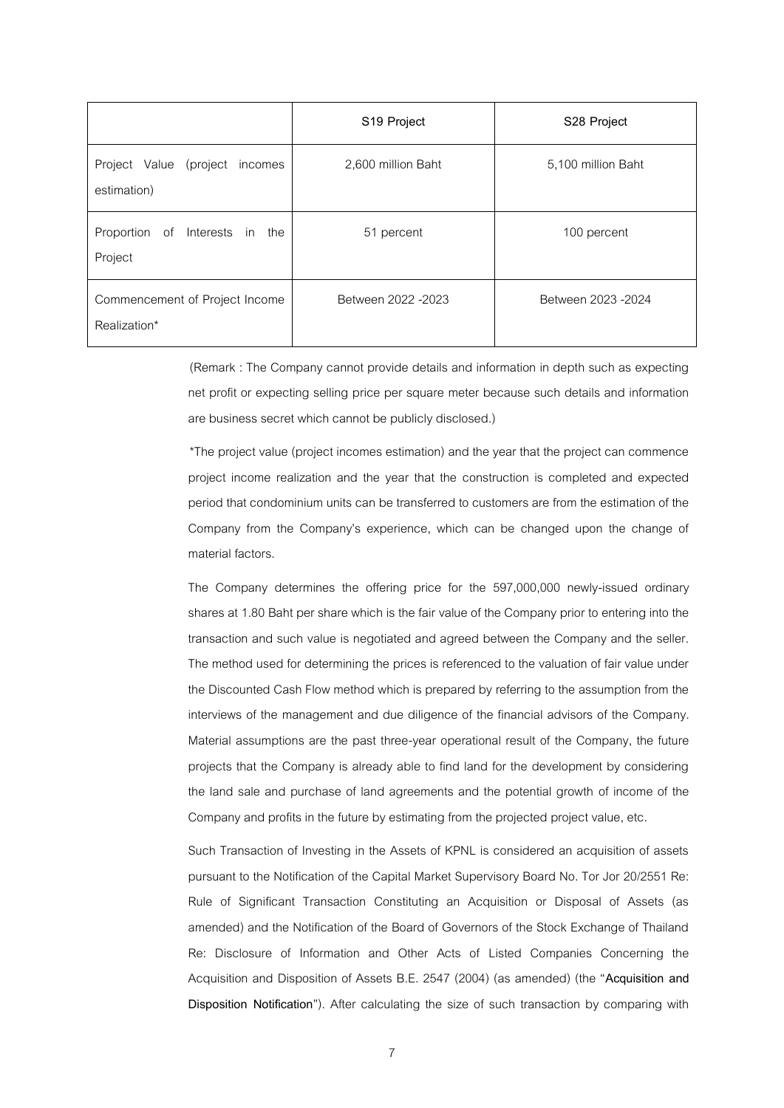|                                                  | S19 Project         | S <sub>28</sub> Project |
|--------------------------------------------------|---------------------|-------------------------|
| Project Value (project<br>incomes<br>estimation) | 2,600 million Baht  | 5,100 million Baht      |
| Proportion of<br>Interests in the<br>Project     | 51 percent          | 100 percent             |
| Commencement of Project Income<br>Realization*   | Between 2022 - 2023 | Between 2023 - 2024     |

(Remark : The Company cannot provide details and information in depth such as expecting net profit or expecting selling price per square meter because such details and information are business secret which cannot be publicly disclosed.)

\*The project value (project incomes estimation) and the year that the project can commence project income realization and the year that the construction is completed and expected period that condominium units can be transferred to customers are from the estimation of the Company from the Company's experience, which can be changed upon the change of material factors.

The Company determines the offering price for the 597,000,000 newly-issued ordinary shares at 1.80 Baht per share which is the fair value of the Company prior to entering into the transaction and such value is negotiated and agreed between the Company and the seller. The method used for determining the prices is referenced to the valuation of fair value under the Discounted Cash Flow method which is prepared by referring to the assumption from the interviews of the management and due diligence of the financial advisors of the Company. Material assumptions are the past three-year operational result of the Company, the future projects that the Company is already able to find land for the development by considering the land sale and purchase of land agreements and the potential growth of income of the Company and profits in the future by estimating from the projected project value, etc.

Such Transaction of Investing in the Assets of KPNL is considered an acquisition of assets pursuant to the Notification of the Capital Market Supervisory Board No. Tor Jor 20/2551 Re: Rule of Significant Transaction Constituting an Acquisition or Disposal of Assets (as amended) and the Notification of the Board of Governors of the Stock Exchange of Thailand Re: Disclosure of Information and Other Acts of Listed Companies Concerning the Acquisition and Disposition of Assets B.E. 2547 (2004) (as amended) (the "**Acquisition and Disposition Notification**"). After calculating the size of such transaction by comparing with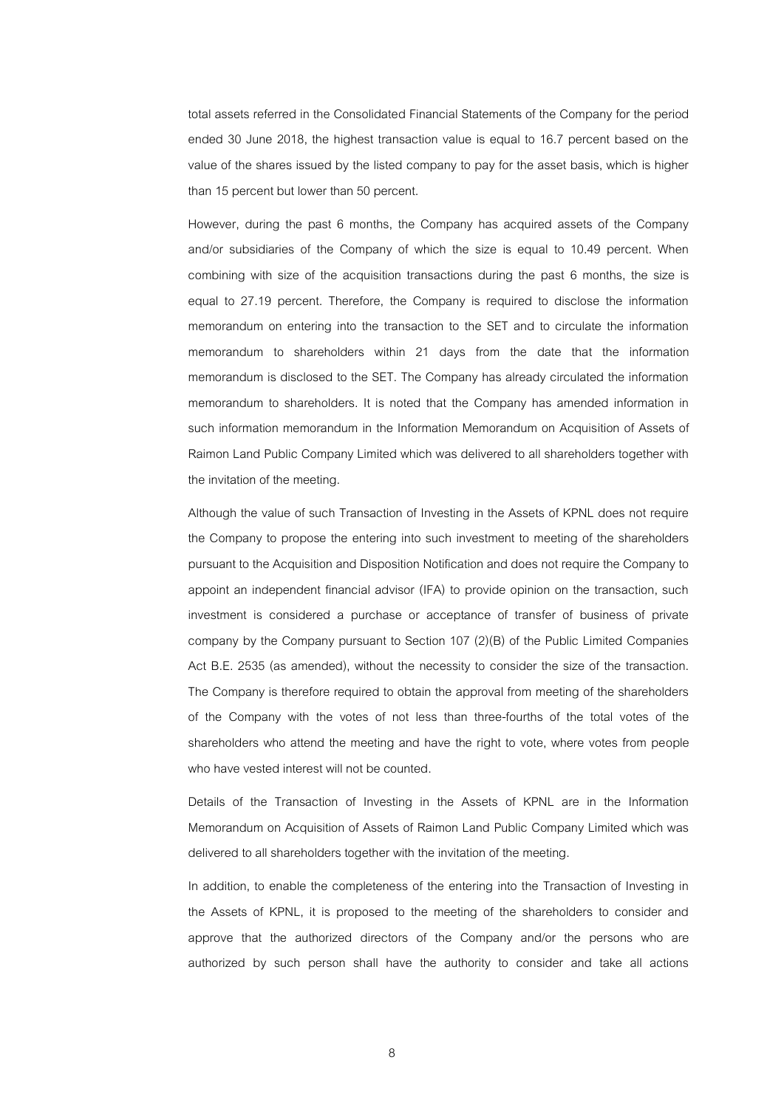total assets referred in the Consolidated Financial Statements of the Company for the period ended 30 June 2018, the highest transaction value is equal to 16.7 percent based on the value of the shares issued by the listed company to pay for the asset basis, which is higher than 15 percent but lower than 50 percent.

However, during the past 6 months, the Company has acquired assets of the Company and/or subsidiaries of the Company of which the size is equal to 10.49 percent. When combining with size of the acquisition transactions during the past 6 months, the size is equal to 27.19 percent. Therefore, the Company is required to disclose the information memorandum on entering into the transaction to the SET and to circulate the information memorandum to shareholders within 21 days from the date that the information memorandum is disclosed to the SET. The Company has already circulated the information memorandum to shareholders. It is noted that the Company has amended information in such information memorandum in the Information Memorandum on Acquisition of Assets of Raimon Land Public Company Limited which was delivered to all shareholders together with the invitation of the meeting.

Although the value of such Transaction of Investing in the Assets of KPNL does not require the Company to propose the entering into such investment to meeting of the shareholders pursuant to the Acquisition and Disposition Notification and does not require the Company to appoint an independent financial advisor (IFA) to provide opinion on the transaction, such investment is considered a purchase or acceptance of transfer of business of private company by the Company pursuant to Section 107 (2)(B) of the Public Limited Companies Act B.E. 2535 (as amended), without the necessity to consider the size of the transaction. The Company is therefore required to obtain the approval from meeting of the shareholders of the Company with the votes of not less than three-fourths of the total votes of the shareholders who attend the meeting and have the right to vote, where votes from people who have vested interest will not be counted.

Details of the Transaction of Investing in the Assets of KPNL are in the Information Memorandum on Acquisition of Assets of Raimon Land Public Company Limited which was delivered to all shareholders together with the invitation of the meeting.

In addition, to enable the completeness of the entering into the Transaction of Investing in the Assets of KPNL, it is proposed to the meeting of the shareholders to consider and approve that the authorized directors of the Company and/or the persons who are authorized by such person shall have the authority to consider and take all actions

8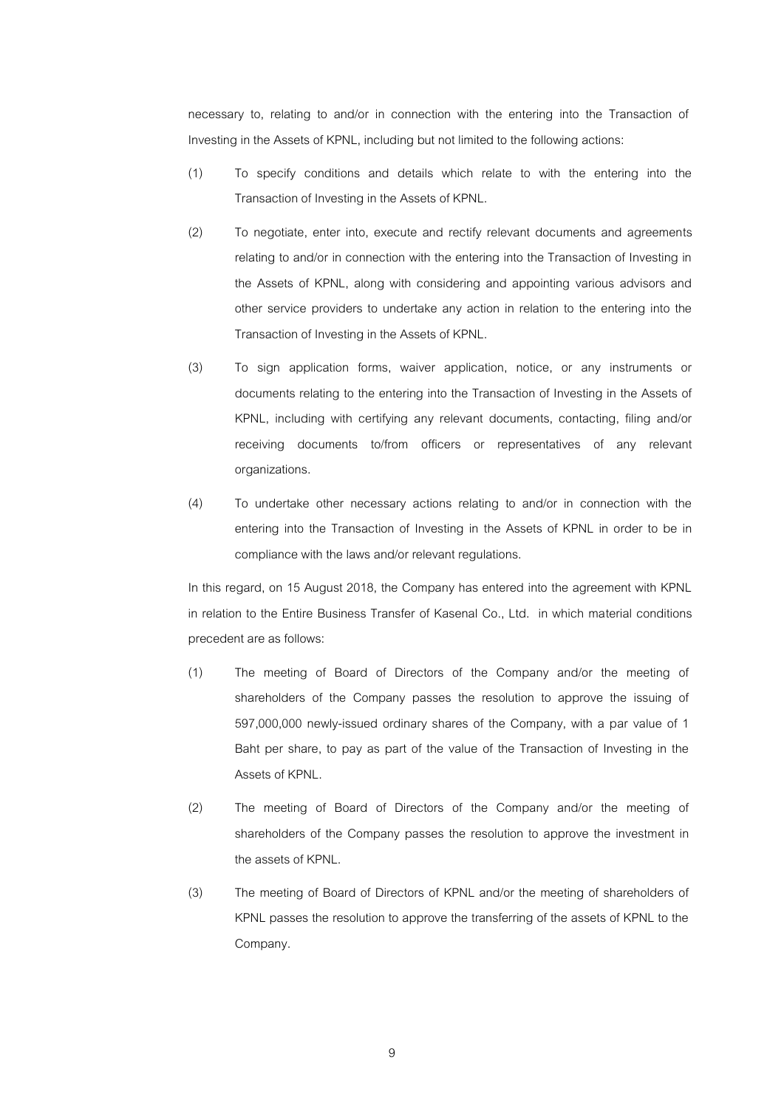necessary to, relating to and/or in connection with the entering into the Transaction of Investing in the Assets of KPNL, including but not limited to the following actions:

- (1) To specify conditions and details which relate to with the entering into the Transaction of Investing in the Assets of KPNL.
- (2) To negotiate, enter into, execute and rectify relevant documents and agreements relating to and/or in connection with the entering into the Transaction of Investing in the Assets of KPNL, along with considering and appointing various advisors and other service providers to undertake any action in relation to the entering into the Transaction of Investing in the Assets of KPNL.
- (3) To sign application forms, waiver application, notice, or any instruments or documents relating to the entering into the Transaction of Investing in the Assets of KPNL, including with certifying any relevant documents, contacting, filing and/or receiving documents to/from officers or representatives of any relevant organizations.
- (4) To undertake other necessary actions relating to and/or in connection with the entering into the Transaction of Investing in the Assets of KPNL in order to be in compliance with the laws and/or relevant regulations.

In this regard, on 15 August 2018, the Company has entered into the agreement with KPNL in relation to the Entire Business Transfer of Kasenal Co., Ltd. in which material conditions precedent are as follows:

- (1) The meeting of Board of Directors of the Company and/or the meeting of shareholders of the Company passes the resolution to approve the issuing of 597,000,000 newly-issued ordinary shares of the Company, with a par value of 1 Baht per share, to pay as part of the value of the Transaction of Investing in the Assets of KPNL.
- (2) The meeting of Board of Directors of the Company and/or the meeting of shareholders of the Company passes the resolution to approve the investment in the assets of KPNL.
- (3) The meeting of Board of Directors of KPNL and/or the meeting of shareholders of KPNL passes the resolution to approve the transferring of the assets of KPNL to the Company.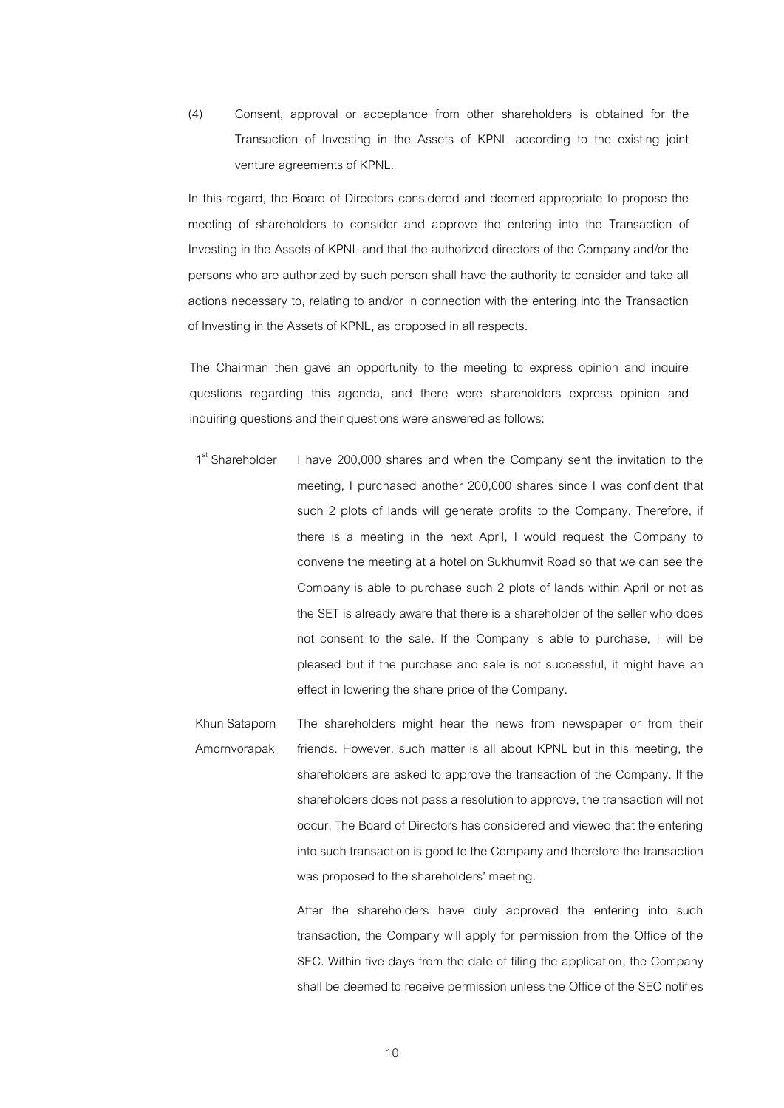(4) Consent, approval or acceptance from other shareholders is obtained for the Transaction of Investing in the Assets of KPNL according to the existing joint venture agreements of KPNL.

In this regard, the Board of Directors considered and deemed appropriate to propose the meeting of shareholders to consider and approve the entering into the Transaction of Investing in the Assets of KPNL and that the authorized directors of the Company and/or the persons who are authorized by such person shall have the authority to consider and take all actions necessary to, relating to and/or in connection with the entering into the Transaction of Investing in the Assets of KPNL, as proposed in all respects.

The Chairman then gave an opportunity to the meeting to express opinion and inquire questions regarding this agenda, and there were shareholders express opinion and inquiring questions and their questions were answered as follows:

- 1<sup>st</sup> Shareholder I have 200,000 shares and when the Company sent the invitation to the meeting, I purchased another 200,000 shares since I was confident that such 2 plots of lands will generate profits to the Company. Therefore, if there is a meeting in the next April, I would request the Company to convene the meeting at a hotel on Sukhumvit Road so that we can see the Company is able to purchase such 2 plots of lands within April or not as the SET is already aware that there is a shareholder of the seller who does not consent to the sale. If the Company is able to purchase, I will be pleased but if the purchase and sale is not successful, it might have an effect in lowering the share price of the Company.
- Khun Sataporn Amornvorapak The shareholders might hear the news from newspaper or from their friends. However, such matter is all about KPNL but in this meeting, the shareholders are asked to approve the transaction of the Company. If the shareholders does not pass a resolution to approve, the transaction will not occur. The Board of Directors has considered and viewed that the entering into such transaction is good to the Company and therefore the transaction was proposed to the shareholders' meeting.

After the shareholders have duly approved the entering into such transaction, the Company will apply for permission from the Office of the SEC. Within five days from the date of filing the application, the Company shall be deemed to receive permission unless the Office of the SEC notifies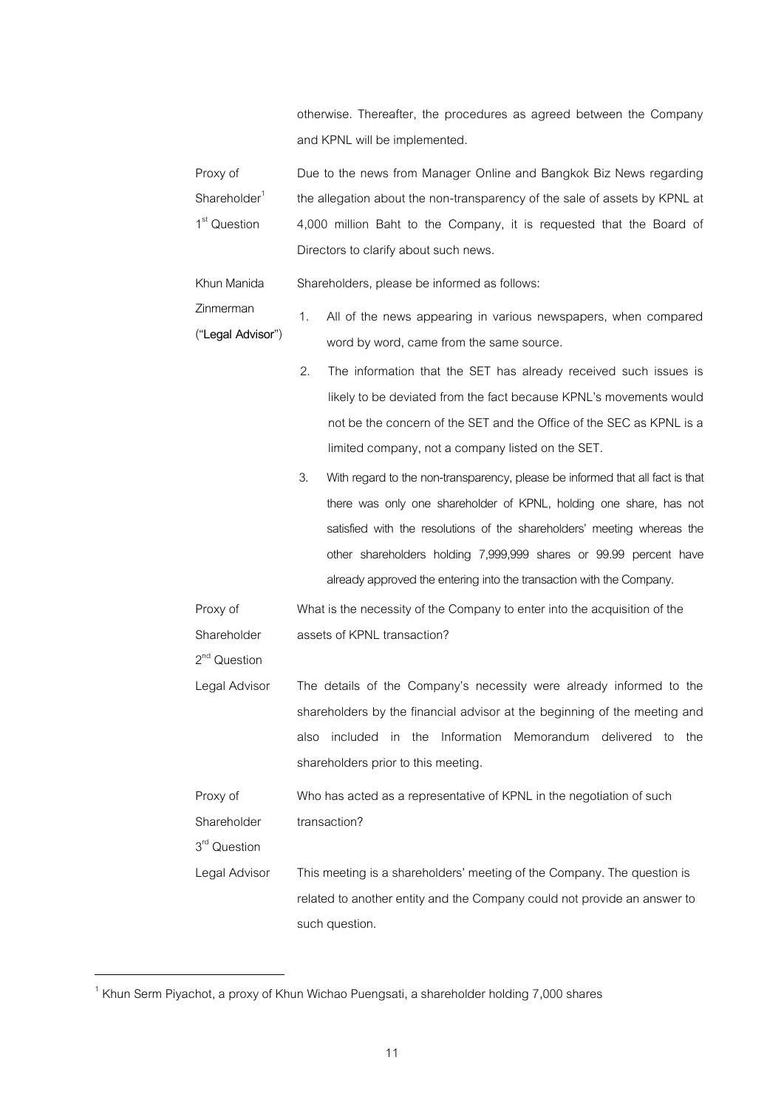otherwise. Thereafter, the procedures as agreed between the Company and KPNL will be implemented.

| Proxy of                 | Due to the news from Manager Online and Bangkok Biz News regarding         |
|--------------------------|----------------------------------------------------------------------------|
| Shareholder <sup>1</sup> | the allegation about the non-transparency of the sale of assets by KPNL at |
| 1 <sup>st</sup> Question | 4,000 million Baht to the Company, it is requested that the Board of       |
|                          | Directors to clarify about such news.                                      |

Khun Manida Shareholders, please be informed as follows:

- Zinmerman ("**Legal Advisor**") 1. All of the news appearing in various newspapers, when compared word by word, came from the same source.
	- 2. The information that the SET has already received such issues is likely to be deviated from the fact because KPNL's movements would not be the concern of the SET and the Office of the SEC as KPNL is a limited company, not a company listed on the SET.
		- 3. With regard to the non-transparency, please be informed that all fact is that there was only one shareholder of KPNL, holding one share, has not satisfied with the resolutions of the shareholders' meeting whereas the other shareholders holding 7,999,999 shares or 99.99 percent have already approved the entering into the transaction with the Company.

Proxy of Shareholder What is the necessity of the Company to enter into the acquisition of the assets of KPNL transaction?

Legal Advisor The details of the Company's necessity were already informed to the shareholders by the financial advisor at the beginning of the meeting and also included in the Information Memorandum delivered to the shareholders prior to this meeting.

Proxy of Shareholder Who has acted as a representative of KPNL in the negotiation of such transaction?

Legal Advisor This meeting is a shareholders' meeting of the Company. The question is related to another entity and the Company could not provide an answer to such question.

2<sup>nd</sup> Question

3<sup>rd</sup> Question

<u>.</u>

 $<sup>1</sup>$  Khun Serm Piyachot, a proxy of Khun Wichao Puengsati, a shareholder holding 7,000 shares</sup>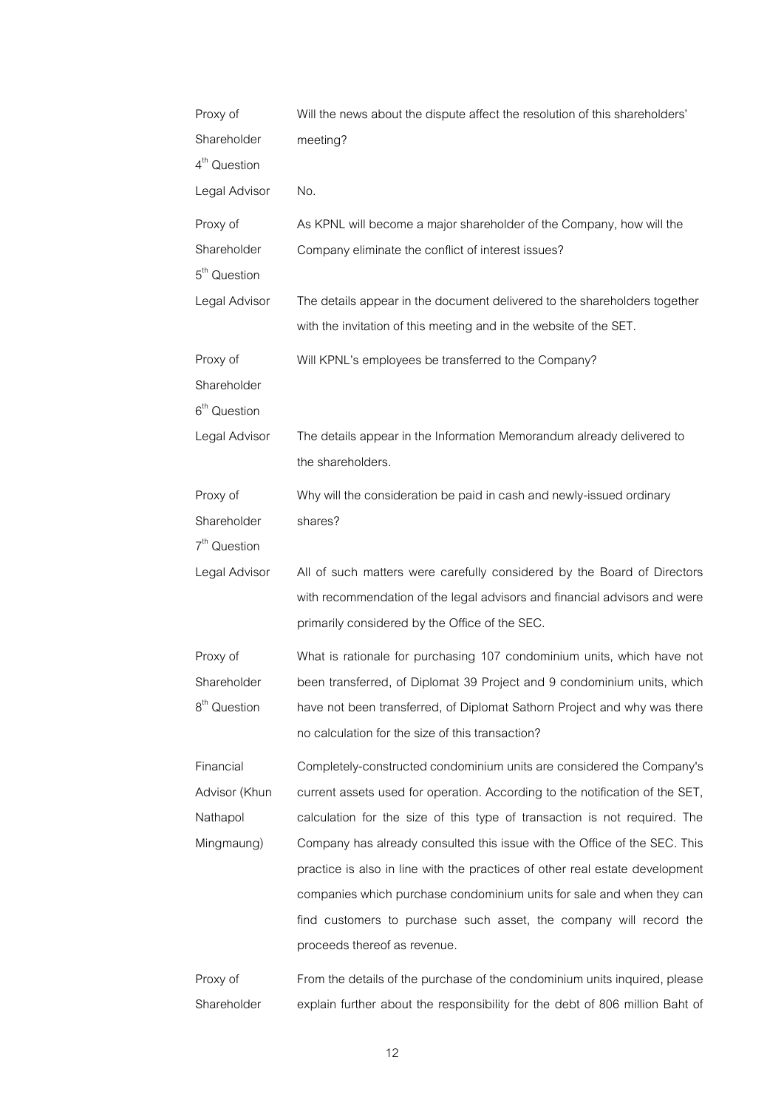| Proxy of                 | Will the news about the dispute affect the resolution of this shareholders'  |
|--------------------------|------------------------------------------------------------------------------|
| Shareholder              | meeting?                                                                     |
| 4 <sup>th</sup> Question |                                                                              |
| Legal Advisor            | No.                                                                          |
| Proxy of                 | As KPNL will become a major shareholder of the Company, how will the         |
| Shareholder              | Company eliminate the conflict of interest issues?                           |
| 5 <sup>th</sup> Question |                                                                              |
| Legal Advisor            | The details appear in the document delivered to the shareholders together    |
|                          | with the invitation of this meeting and in the website of the SET.           |
| Proxy of                 | Will KPNL's employees be transferred to the Company?                         |
| Shareholder              |                                                                              |
| $6th$ Question           |                                                                              |
| Legal Advisor            | The details appear in the Information Memorandum already delivered to        |
|                          | the shareholders.                                                            |
| Proxy of                 | Why will the consideration be paid in cash and newly-issued ordinary         |
| Shareholder              | shares?                                                                      |
| $7th$ Question           |                                                                              |
| Legal Advisor            | All of such matters were carefully considered by the Board of Directors      |
|                          |                                                                              |
|                          | with recommendation of the legal advisors and financial advisors and were    |
|                          | primarily considered by the Office of the SEC.                               |
|                          |                                                                              |
| Proxy of                 | What is rationale for purchasing 107 condominium units, which have not       |
| Shareholder              | been transferred, of Diplomat 39 Project and 9 condominium units, which      |
| 8 <sup>th</sup> Question | have not been transferred, of Diplomat Sathorn Project and why was there     |
|                          | no calculation for the size of this transaction?                             |
| Financial                | Completely-constructed condominium units are considered the Company's        |
| Advisor (Khun            | current assets used for operation. According to the notification of the SET, |
| Nathapol                 | calculation for the size of this type of transaction is not required. The    |
| Mingmaung)               | Company has already consulted this issue with the Office of the SEC. This    |
|                          | practice is also in line with the practices of other real estate development |
|                          | companies which purchase condominium units for sale and when they can        |
|                          | find customers to purchase such asset, the company will record the           |
|                          | proceeds thereof as revenue.                                                 |
| Proxy of                 | From the details of the purchase of the condominium units inquired, please   |

12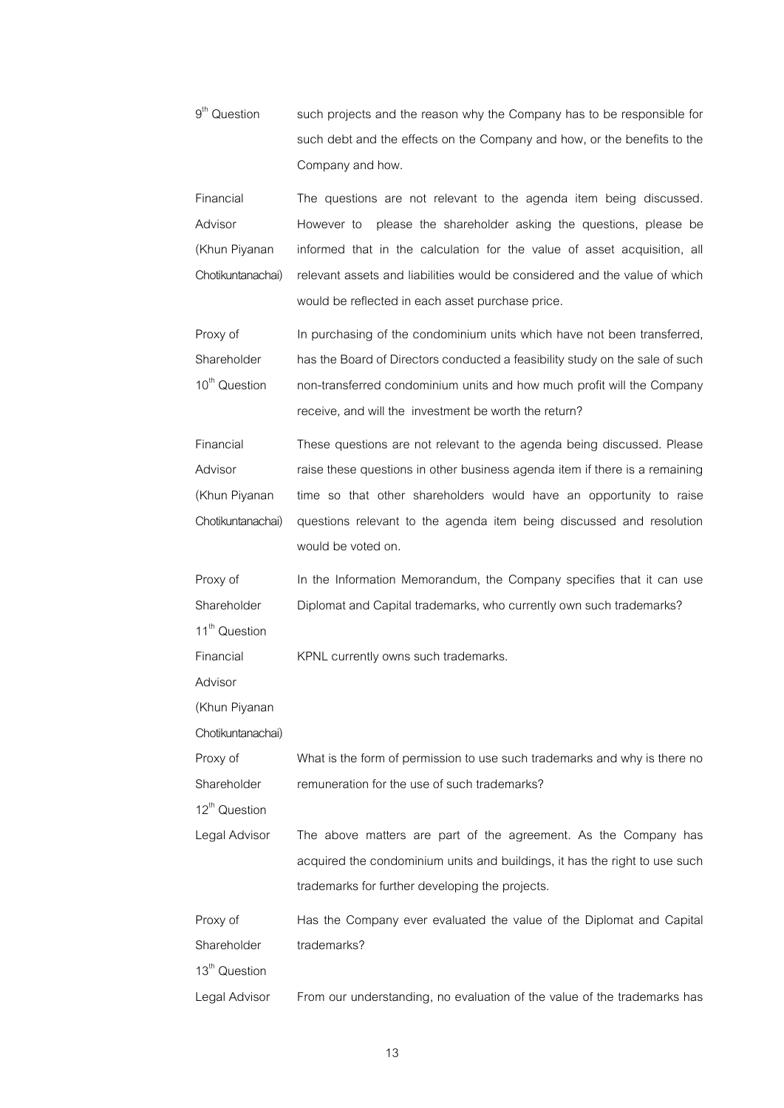$9<sup>th</sup>$  Question such projects and the reason why the Company has to be responsible for such debt and the effects on the Company and how, or the benefits to the Company and how.

Financial Advisor (Khun Piyanan Chotikuntanachai) The questions are not relevant to the agenda item being discussed. However to please the shareholder asking the questions, please be informed that in the calculation for the value of asset acquisition, all relevant assets and liabilities would be considered and the value of which would be reflected in each asset purchase price.

Proxy of Shareholder 10<sup>th</sup> Question In purchasing of the condominium units which have not been transferred, has the Board of Directors conducted a feasibility study on the sale of such non-transferred condominium units and how much profit will the Company receive, and will the investment be worth the return?

| Financial         | These questions are not relevant to the agenda being discussed. Please      |
|-------------------|-----------------------------------------------------------------------------|
| Advisor           | raise these questions in other business agenda item if there is a remaining |
| (Khun Piyanan     | time so that other shareholders would have an opportunity to raise          |
| Chotikuntanachai) | questions relevant to the agenda item being discussed and resolution        |
|                   | would be voted on.                                                          |

Proxy of Shareholder In the Information Memorandum, the Company specifies that it can use Diplomat and Capital trademarks, who currently own such trademarks?

11<sup>th</sup> Question Financial

KPNL currently owns such trademarks.

Advisor

(Khun Piyanan

Chotikuntanachai)

| Proxy of    | What is the form of permission to use such trademarks and why is there no |
|-------------|---------------------------------------------------------------------------|
| Shareholder | remuneration for the use of such trademarks?                              |

12<sup>th</sup> Question

Legal Advisor The above matters are part of the agreement. As the Company has acquired the condominium units and buildings, it has the right to use such trademarks for further developing the projects.

Proxy of Shareholder Has the Company ever evaluated the value of the Diplomat and Capital trademarks?

13<sup>th</sup> Question

Legal Advisor From our understanding, no evaluation of the value of the trademarks has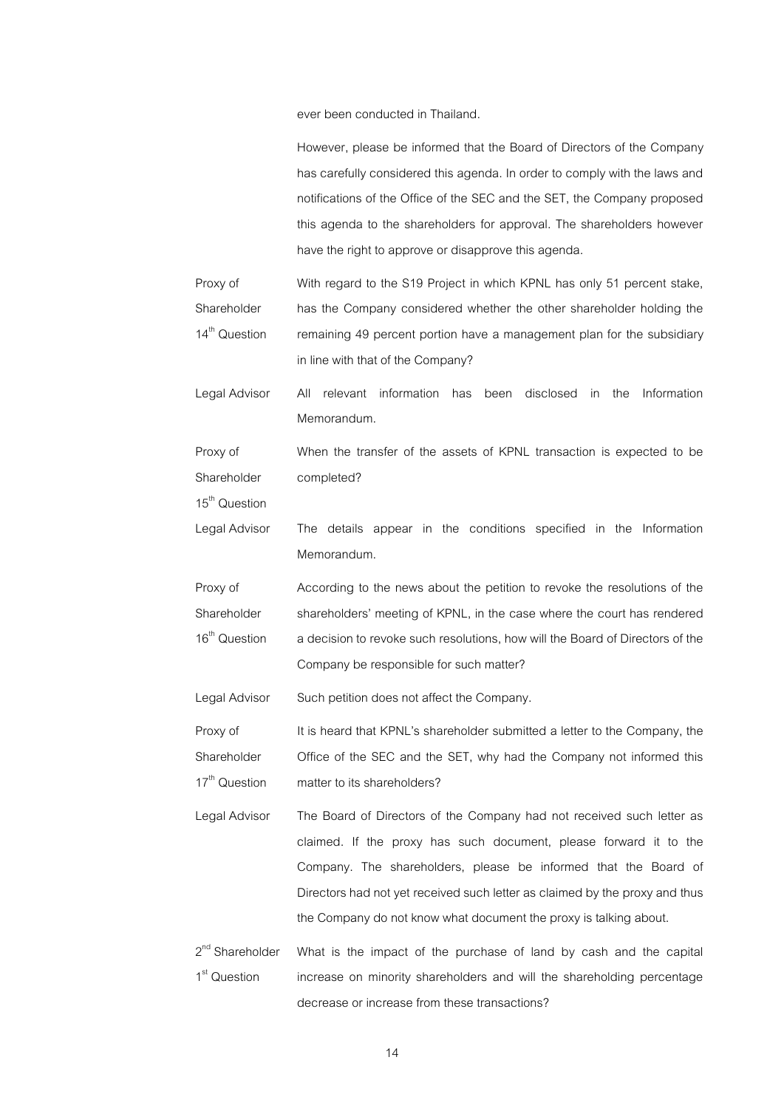ever been conducted in Thailand.

However, please be informed that the Board of Directors of the Company has carefully considered this agenda. In order to comply with the laws and

|                                                         | notifications of the Office of the SEC and the SET, the Company proposed<br>this agenda to the shareholders for approval. The shareholders however<br>have the right to approve or disapprove this agenda.                                                                                                                                                        |
|---------------------------------------------------------|-------------------------------------------------------------------------------------------------------------------------------------------------------------------------------------------------------------------------------------------------------------------------------------------------------------------------------------------------------------------|
| Proxy of<br>Shareholder<br>14 <sup>th</sup> Question    | With regard to the S19 Project in which KPNL has only 51 percent stake,<br>has the Company considered whether the other shareholder holding the<br>remaining 49 percent portion have a management plan for the subsidiary<br>in line with that of the Company?                                                                                                    |
| Legal Advisor                                           | relevant information<br>has<br>disclosed<br>Information<br>All<br>been<br>in<br>the<br>Memorandum.                                                                                                                                                                                                                                                                |
| Proxy of<br>Shareholder<br>15 <sup>th</sup> Question    | When the transfer of the assets of KPNL transaction is expected to be<br>completed?                                                                                                                                                                                                                                                                               |
| Legal Advisor                                           | The details appear in the conditions specified in the Information<br>Memorandum.                                                                                                                                                                                                                                                                                  |
| Proxy of<br>Shareholder<br>16 <sup>th</sup> Question    | According to the news about the petition to revoke the resolutions of the<br>shareholders' meeting of KPNL, in the case where the court has rendered<br>a decision to revoke such resolutions, how will the Board of Directors of the<br>Company be responsible for such matter?                                                                                  |
| Legal Advisor                                           | Such petition does not affect the Company.                                                                                                                                                                                                                                                                                                                        |
| Proxy of<br>Shareholder<br>17 <sup>th</sup> Question    | It is heard that KPNL's shareholder submitted a letter to the Company, the<br>Office of the SEC and the SET, why had the Company not informed this<br>matter to its shareholders?                                                                                                                                                                                 |
| Legal Advisor                                           | The Board of Directors of the Company had not received such letter as<br>claimed. If the proxy has such document, please forward it to the<br>Company. The shareholders, please be informed that the Board of<br>Directors had not yet received such letter as claimed by the proxy and thus<br>the Company do not know what document the proxy is talking about. |
| 2 <sup>nd</sup> Shareholder<br>1 <sup>st</sup> Question | What is the impact of the purchase of land by cash and the capital<br>increase on minority shareholders and will the shareholding percentage<br>decrease or increase from these transactions?                                                                                                                                                                     |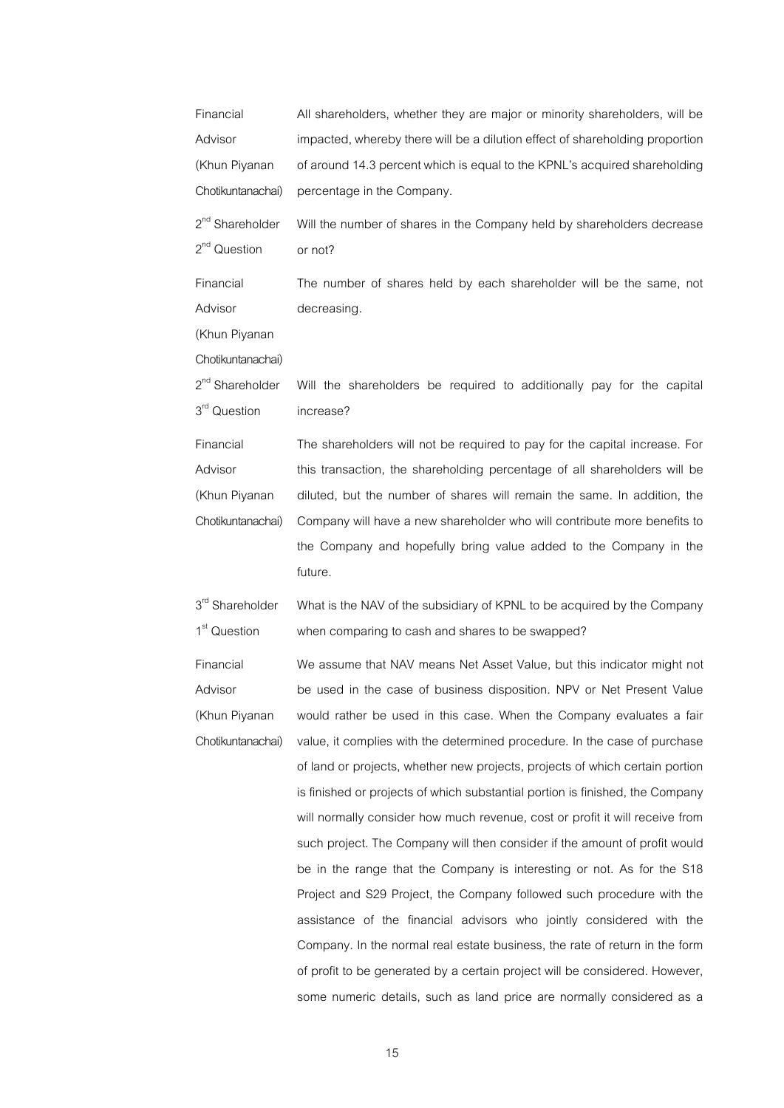| Financial                   | All shareholders, whether they are major or minority shareholders, will be    |
|-----------------------------|-------------------------------------------------------------------------------|
| Advisor                     | impacted, whereby there will be a dilution effect of shareholding proportion  |
| (Khun Piyanan               | of around 14.3 percent which is equal to the KPNL's acquired shareholding     |
| Chotikuntanachai)           | percentage in the Company.                                                    |
| 2 <sup>nd</sup> Shareholder | Will the number of shares in the Company held by shareholders decrease        |
| $2nd$ Question              | or not?                                                                       |
| Financial                   | The number of shares held by each shareholder will be the same, not           |
| Advisor                     | decreasing.                                                                   |
| (Khun Piyanan               |                                                                               |
| Chotikuntanachai)           |                                                                               |
| 2 <sup>nd</sup> Shareholder | Will the shareholders be required to additionally pay for the capital         |
| 3 <sup>rd</sup> Question    | increase?                                                                     |
| Financial                   | The shareholders will not be required to pay for the capital increase. For    |
| Advisor                     | this transaction, the shareholding percentage of all shareholders will be     |
| (Khun Piyanan               | diluted, but the number of shares will remain the same. In addition, the      |
| Chotikuntanachai)           | Company will have a new shareholder who will contribute more benefits to      |
|                             | the Company and hopefully bring value added to the Company in the             |
|                             | future.                                                                       |
| 3rd Shareholder             | What is the NAV of the subsidiary of KPNL to be acquired by the Company       |
| 1 <sup>st</sup> Question    | when comparing to cash and shares to be swapped?                              |
| Financial                   | We assume that NAV means Net Asset Value, but this indicator might not        |
| Advisor                     | be used in the case of business disposition. NPV or Net Present Value         |
| (Khun Piyanan               | would rather be used in this case. When the Company evaluates a fair          |
| Chotikuntanachai)           | value, it complies with the determined procedure. In the case of purchase     |
|                             | of land or projects, whether new projects, projects of which certain portion  |
|                             | is finished or projects of which substantial portion is finished, the Company |
|                             | will normally consider how much revenue, cost or profit it will receive from  |
|                             | such project. The Company will then consider if the amount of profit would    |
|                             | be in the range that the Company is interesting or not. As for the S18        |
|                             | Project and S29 Project, the Company followed such procedure with the         |
|                             | assistance of the financial advisors who jointly considered with the          |
|                             | Company. In the normal real estate business, the rate of return in the form   |
|                             | of profit to be generated by a certain project will be considered. However,   |

15

some numeric details, such as land price are normally considered as a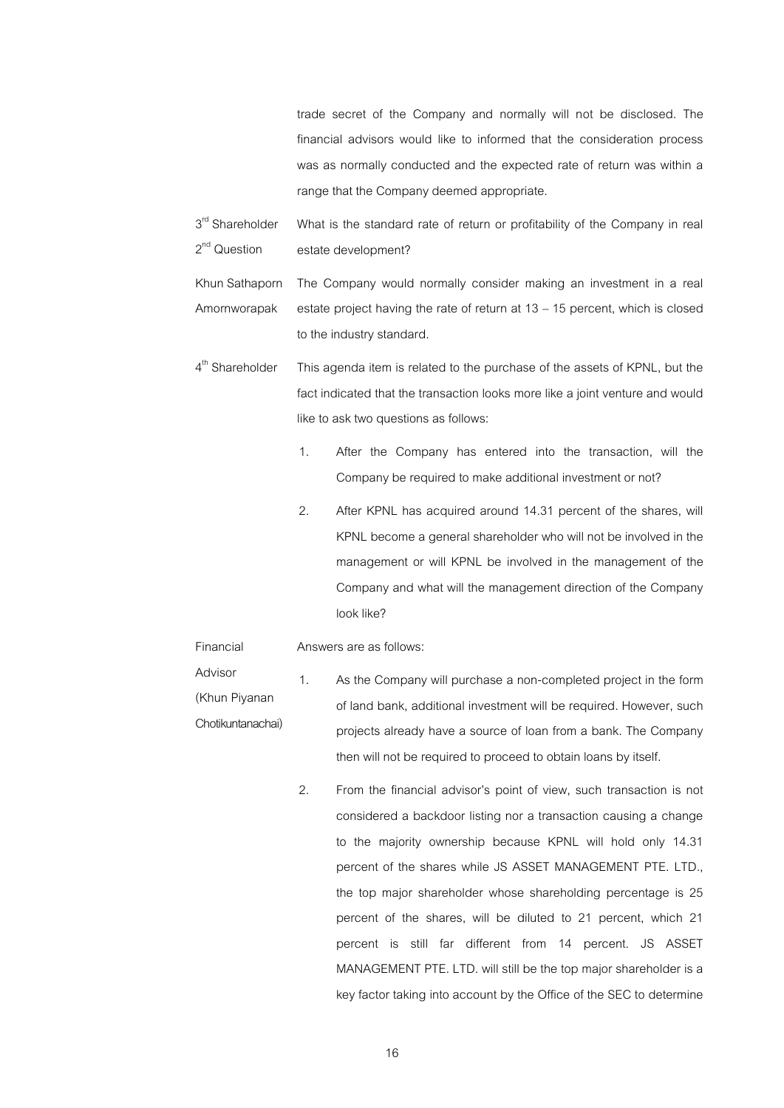trade secret of the Company and normally will not be disclosed. The financial advisors would like to informed that the consideration process was as normally conducted and the expected rate of return was within a range that the Company deemed appropriate.

3<sup>rd</sup> Shareholder 2<sup>nd</sup> Question What is the standard rate of return or profitability of the Company in real estate development?

Khun Sathaporn Amornworapak The Company would normally consider making an investment in a real estate project having the rate of return at 13 – 15 percent, which is closed to the industry standard.

- 4<sup>th</sup> Shareholder This agenda item is related to the purchase of the assets of KPNL, but the fact indicated that the transaction looks more like a joint venture and would like to ask two questions as follows:
	- 1. After the Company has entered into the transaction, will the Company be required to make additional investment or not?
	- 2. After KPNL has acquired around 14.31 percent of the shares, will KPNL become a general shareholder who will not be involved in the management or will KPNL be involved in the management of the Company and what will the management direction of the Company look like?

#### Financial Answers are as follows:

- Advisor (Khun Piyanan Chotikuntanachai) 1. As the Company will purchase a non-completed project in the form of land bank, additional investment will be required. However, such projects already have a source of loan from a bank. The Company then will not be required to proceed to obtain loans by itself.
	- 2. From the financial advisor's point of view, such transaction is not considered a backdoor listing nor a transaction causing a change to the majority ownership because KPNL will hold only 14.31 percent of the shares while JS ASSET MANAGEMENT PTE. LTD., the top major shareholder whose shareholding percentage is 25 percent of the shares, will be diluted to 21 percent, which 21 percent is still far different from 14 percent. JS ASSET MANAGEMENT PTE. LTD. will still be the top major shareholder is a key factor taking into account by the Office of the SEC to determine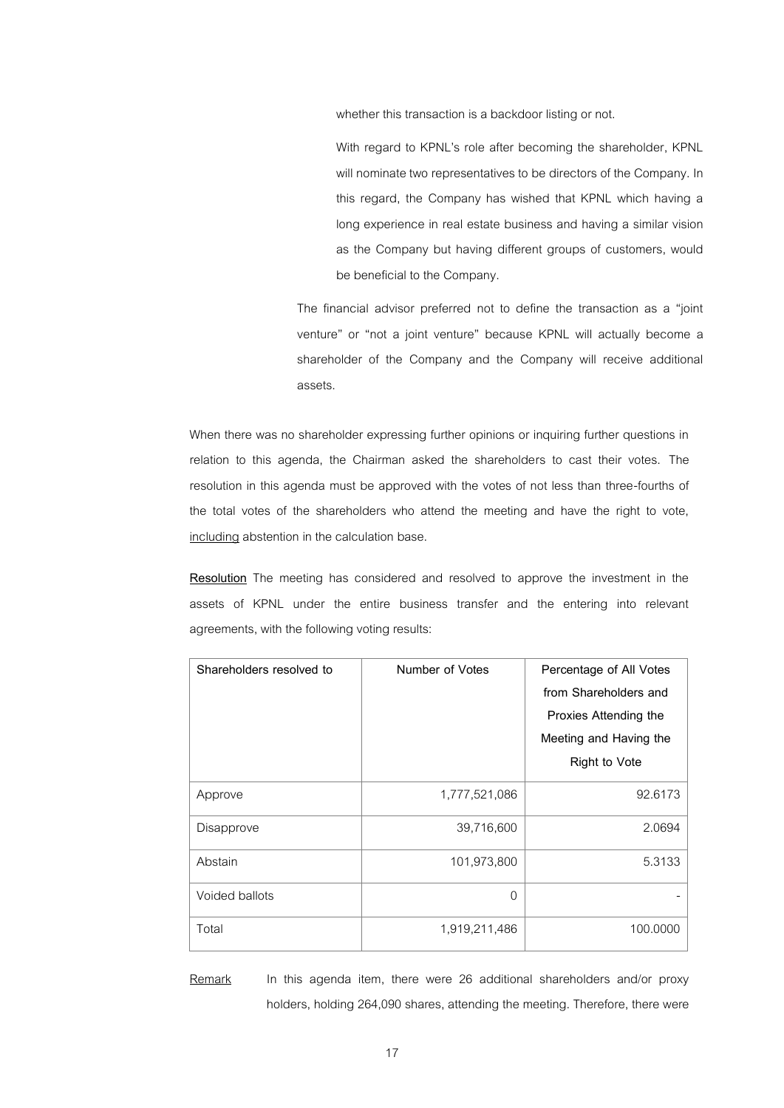whether this transaction is a backdoor listing or not.

With regard to KPNL's role after becoming the shareholder, KPNL will nominate two representatives to be directors of the Company. In this regard, the Company has wished that KPNL which having a long experience in real estate business and having a similar vision as the Company but having different groups of customers, would be beneficial to the Company.

The financial advisor preferred not to define the transaction as a "joint venture" or "not a joint venture" because KPNL will actually become a shareholder of the Company and the Company will receive additional assets.

When there was no shareholder expressing further opinions or inquiring further questions in relation to this agenda, the Chairman asked the shareholders to cast their votes. The resolution in this agenda must be approved with the votes of not less than three-fourths of the total votes of the shareholders who attend the meeting and have the right to vote, including abstention in the calculation base.

**Resolution** The meeting has considered and resolved to approve the investment in the assets of KPNL under the entire business transfer and the entering into relevant agreements, with the following voting results:

| Shareholders resolved to | Number of Votes | Percentage of All Votes |
|--------------------------|-----------------|-------------------------|
|                          |                 | from Shareholders and   |
|                          |                 | Proxies Attending the   |
|                          |                 | Meeting and Having the  |
|                          |                 | <b>Right to Vote</b>    |
| Approve                  | 1,777,521,086   | 92.6173                 |
| Disapprove               | 39,716,600      | 2.0694                  |
| Abstain                  | 101,973,800     | 5.3133                  |
| Voided ballots           | $\Omega$        |                         |
| Total                    | 1,919,211,486   | 100.0000                |

Remark In this agenda item, there were 26 additional shareholders and/or proxy holders, holding 264,090 shares, attending the meeting. Therefore, there were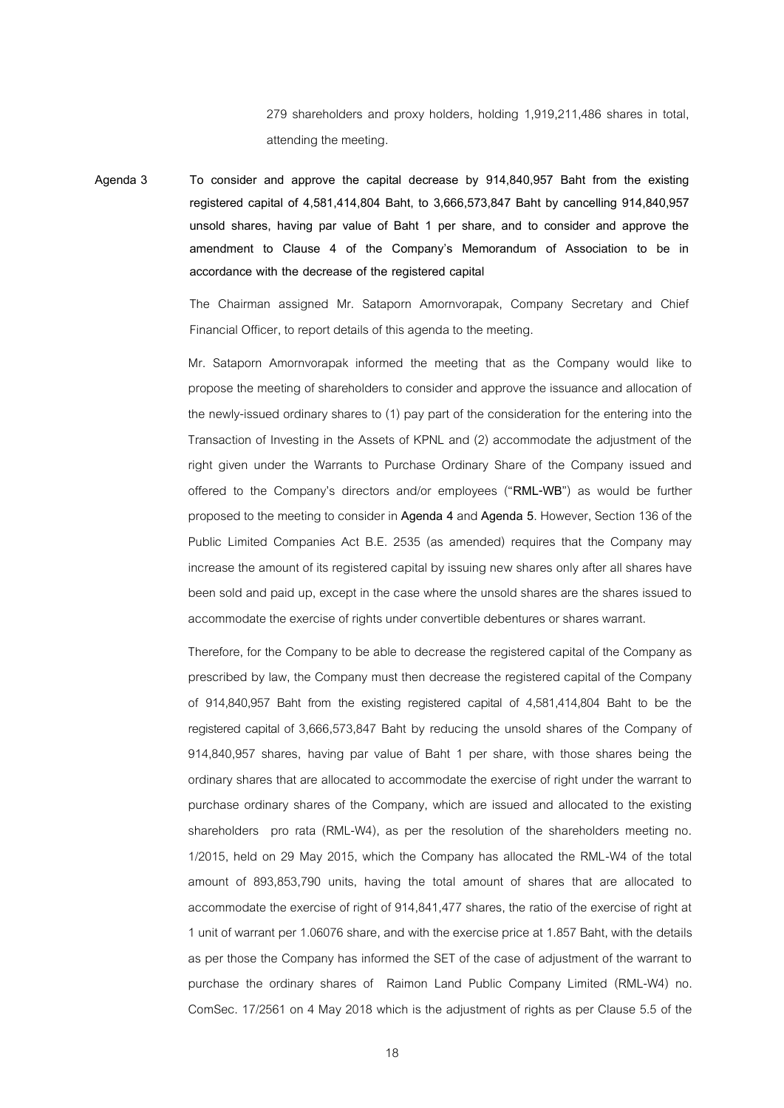279 shareholders and proxy holders, holding 1,919,211,486 shares in total, attending the meeting.

**Agenda 3 To consider and approve the capital decrease by 914,840,957 Baht from the existing**  registered capital of 4,581,414,804 Baht, to 3,666,573,847 Baht by cancelling 914,840,957 **unsold shares, having par value of Baht 1 per share, and to consider and approve the amendment to Clause 4 of the Company's Memorandum of Association to be in accordance with the decrease of the registered capital**

> The Chairman assigned Mr. Sataporn Amornvorapak, Company Secretary and Chief Financial Officer, to report details of this agenda to the meeting.

> Mr. Sataporn Amornvorapak informed the meeting that as the Company would like to propose the meeting of shareholders to consider and approve the issuance and allocation of the newly-issued ordinary shares to (1) pay part of the consideration for the entering into the Transaction of Investing in the Assets of KPNL and (2) accommodate the adjustment of the right given under the Warrants to Purchase Ordinary Share of the Company issued and offered to the Company's directors and/or employees ("**RML-WB**") as would be further proposed to the meeting to consider in **Agenda 4** and **Agenda 5**. However, Section 136 of the Public Limited Companies Act B.E. 2535 (as amended) requires that the Company may increase the amount of its registered capital by issuing new shares only after all shares have been sold and paid up, except in the case where the unsold shares are the shares issued to accommodate the exercise of rights under convertible debentures or shares warrant.

> Therefore, for the Company to be able to decrease the registered capital of the Company as prescribed by law, the Company must then decrease the registered capital of the Company of 914,840,957 Baht from the existing registered capital of 4,581,414,804 Baht to be the registered capital of 3,666,573,847 Baht by reducing the unsold shares of the Company of 914,840,957 shares, having par value of Baht 1 per share, with those shares being the ordinary shares that are allocated to accommodate the exercise of right under the warrant to purchase ordinary shares of the Company, which are issued and allocated to the existing shareholders pro rata (RML-W4), as per the resolution of the shareholders meeting no. 1/2015, held on 29 May 2015, which the Company has allocated the RML-W4 of the total amount of 893,853,790 units, having the total amount of shares that are allocated to accommodate the exercise of right of 914,841,477 shares, the ratio of the exercise of right at 1 unit of warrant per 1.06076 share, and with the exercise price at 1.857 Baht, with the details as per those the Company has informed the SET of the case of adjustment of the warrant to purchase the ordinary shares of Raimon Land Public Company Limited (RML-W4) no. ComSec. 17/2561 on 4 May 2018 which is the adjustment of rights as per Clause 5.5 of the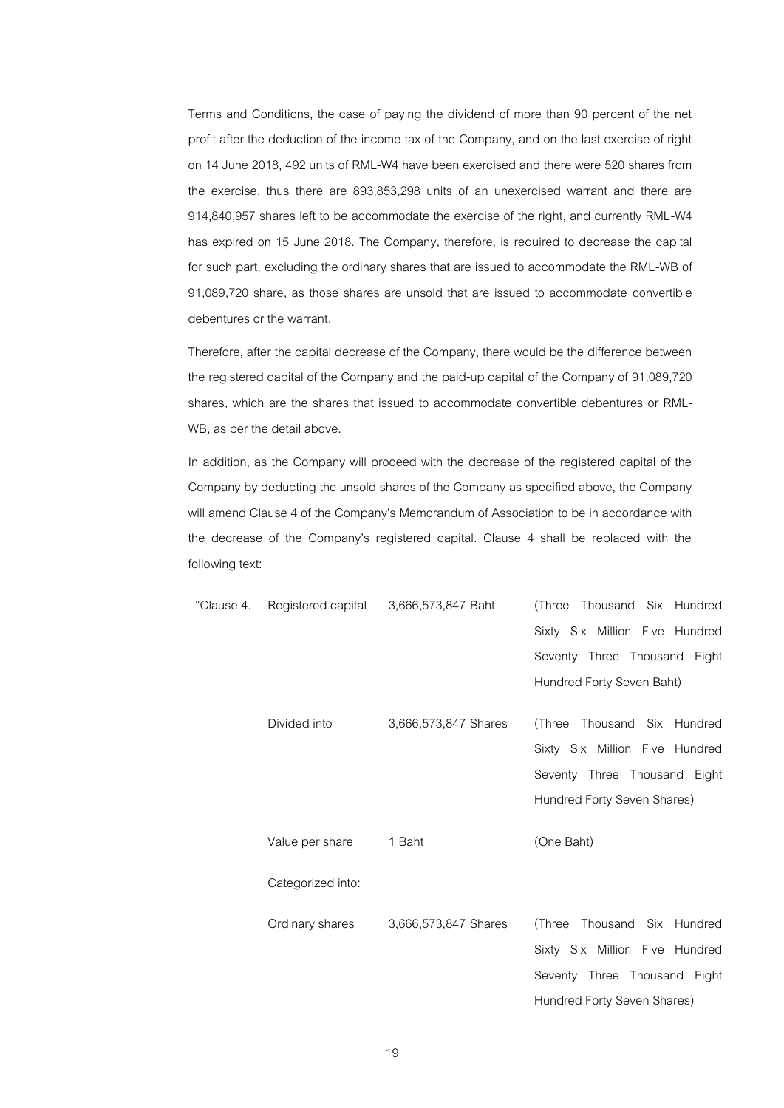Terms and Conditions, the case of paying the dividend of more than 90 percent of the net profit after the deduction of the income tax of the Company, and on the last exercise of right on 14 June 2018, 492 units of RML-W4have been exercised and there were 520 shares from the exercise, thus there are 893,853,298 units of an unexercised warrant and there are 914,840,957 shares left to be accommodate the exercise of the right, and currently RML-W4 has expired on 15 June 2018. The Company, therefore, is required to decrease the capital for such part, excluding the ordinary shares that are issued to accommodate the RML-WB of 91,089,720 share, as those shares are unsold that are issued to accommodate convertible debentures or the warrant.

Therefore, after the capital decrease of the Company, there would be the difference between the registered capital of the Company and the paid-up capital of the Company of 91,089,720 shares, which are the shares that issued to accommodate convertible debentures or RML-WB, as per the detail above.

In addition, as the Company will proceed with the decrease of the registered capital of the Company by deducting the unsold shares of the Company as specified above, the Company will amend Clause 4 of the Company's Memorandum of Association to be in accordance with the decrease of the Company's registered capital. Clause 4 shall be replaced with the following text:

| "Clause 4. | Registered capital | 3,666,573,847 Baht   | (Three Thousand Six Hundred    |
|------------|--------------------|----------------------|--------------------------------|
|            |                    |                      | Sixty Six Million Five Hundred |
|            |                    |                      | Seventy Three Thousand Eight   |
|            |                    |                      | Hundred Forty Seven Baht)      |
|            | Divided into       | 3,666,573,847 Shares | (Three Thousand Six Hundred    |
|            |                    |                      |                                |
|            |                    |                      | Sixty Six Million Five Hundred |
|            |                    |                      | Seventy Three Thousand Eight   |
|            |                    |                      | Hundred Forty Seven Shares)    |
|            | Value per share    | 1 Baht               | (One Baht)                     |
|            | Categorized into:  |                      |                                |
|            | Ordinary shares    | 3,666,573,847 Shares | Thousand Six Hundred<br>(Three |
|            |                    |                      | Sixty Six Million Five Hundred |
|            |                    |                      | Seventy Three Thousand Eight   |
|            |                    |                      | Hundred Forty Seven Shares)    |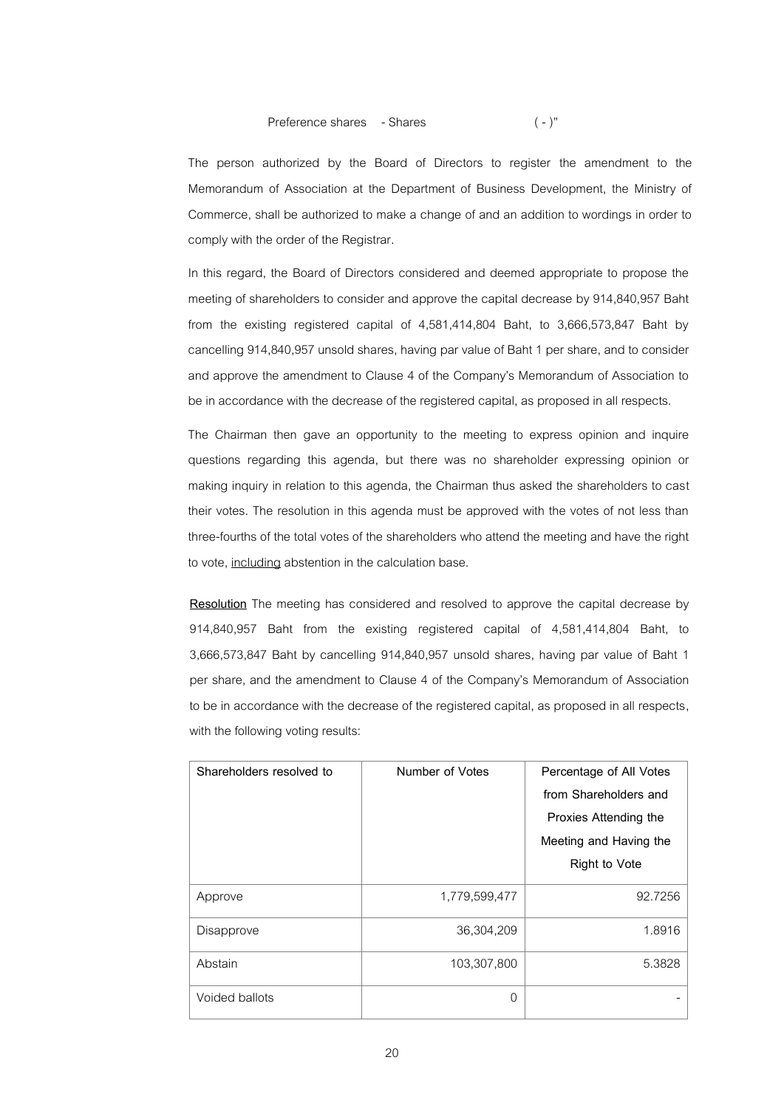The person authorized by the Board of Directors to register the amendment to the Memorandum of Association at the Department of Business Development, the Ministry of Commerce, shall be authorized to make a change of and an addition to wordings in order to comply with the order of the Registrar.

In this regard, the Board of Directors considered and deemed appropriate to propose the meeting of shareholders to consider and approve the capital decrease by 914,840,957 Baht from the existing registered capital of 4,581,414,804 Baht, to 3,666,573,847 Baht by cancelling 914,840,957 unsold shares, having par value of Baht 1 per share, and to consider and approve the amendment to Clause 4 of the Company's Memorandum of Association to be in accordance with the decrease of the registered capital, as proposed in all respects.

The Chairman then gave an opportunity to the meeting to express opinion and inquire questions regarding this agenda, but there was no shareholder expressing opinion or making inquiry in relation to this agenda, the Chairman thus asked the shareholders to cast their votes. The resolution in this agenda must be approved with the votes of not less than three-fourths of the total votes of the shareholders who attend the meeting and have the right to vote, including abstention in the calculation base.

**Resolution** The meeting has considered and resolved to approve the capital decrease by 914,840,957 Baht from the existing registered capital of 4,581,414,804 Baht, to 3,666,573,847 Baht by cancelling 914,840,957 unsold shares, having par value of Baht 1 per share, and the amendment to Clause 4 of the Company's Memorandum of Association to be in accordance with the decrease of the registered capital, as proposed in all respects, with the following voting results:

| Shareholders resolved to | Number of Votes | Percentage of All Votes |
|--------------------------|-----------------|-------------------------|
|                          |                 | from Shareholders and   |
|                          |                 | Proxies Attending the   |
|                          |                 | Meeting and Having the  |
|                          |                 | <b>Right to Vote</b>    |
| Approve                  | 1,779,599,477   | 92.7256                 |
| Disapprove               | 36,304,209      | 1.8916                  |
| Abstain                  | 103,307,800     | 5.3828                  |
| Voided ballots           | 0               |                         |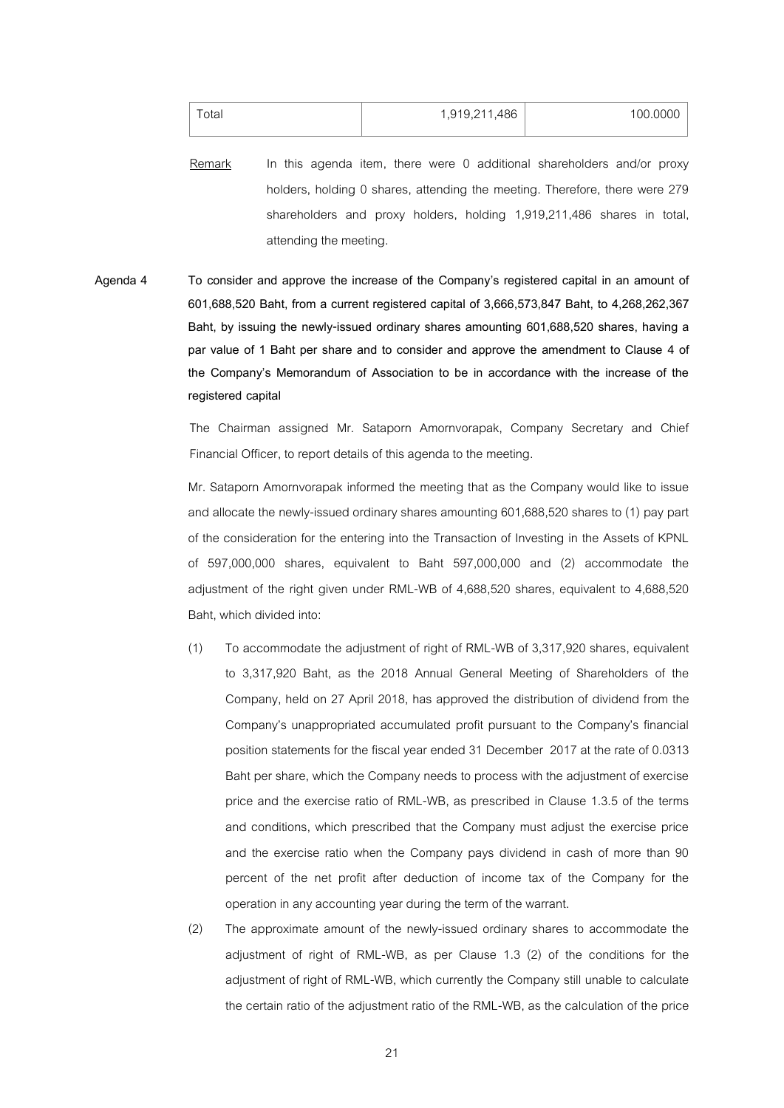| Total | 1,919,211,486 | 100.0000 |
|-------|---------------|----------|
|       |               |          |

Remark In this agenda item, there were 0 additional shareholders and/or proxy holders, holding 0 shares, attending the meeting. Therefore, there were 279 shareholders and proxy holders, holding 1,919,211,486 shares in total, attending the meeting.

**Agenda 4 To consider and approve the increase of the Company's registered capital in an amount of**  601,688,520 Baht, from a current registered capital of 3,666,573,847 Baht, to 4,268,262,367 **Baht, by issuing the newly-issued ordinary shares amounting 601,688,520 shares, having a par value of 1 Baht per share and to consider and approve the amendment to Clause 4 of the Company's Memorandum of Association to be in accordance with the increase of the registered capital**

> The Chairman assigned Mr. Sataporn Amornvorapak, Company Secretary and Chief Financial Officer, to report details of this agenda to the meeting.

> Mr. Sataporn Amornvorapak informed the meeting that as the Company would like to issue and allocate the newly-issued ordinary shares amounting 601,688,520 shares to (1) pay part of the consideration for the entering into the Transaction of Investing in the Assets of KPNL of 597,000,000 shares, equivalent to Baht 597,000,000 and (2) accommodate the adjustment of the right given under RML-WB of 4,688,520 shares, equivalent to 4,688,520 Baht, which divided into:

- (1) To accommodate the adjustment of right of RML-WB of 3,317,920 shares, equivalent to 3,317,920 Baht, as the 2018 Annual General Meeting of Shareholders of the Company, held on 27 April 2018, has approved the distribution of dividend from the Company's unappropriated accumulated profit pursuant to the Company's financial position statements for the fiscal year ended 31 December 2017 at the rate of 0.0313 Baht per share, which the Company needs to process with the adjustment of exercise price and the exercise ratio of RML-WB, as prescribed in Clause 1.3.5 of the terms and conditions, which prescribed that the Company must adjust the exercise price and the exercise ratio when the Company pays dividend in cash of more than 90 percent of the net profit after deduction of income tax of the Company for the operation in any accounting year during the term of the warrant.
- (2) The approximate amount of the newly-issued ordinary shares to accommodate the adjustment of right of RML-WB, as per Clause 1.3 (2) of the conditions for the adjustment of right of RML-WB, which currently the Company still unable to calculate the certain ratio of the adjustment ratio of the RML-WB, as the calculation of the price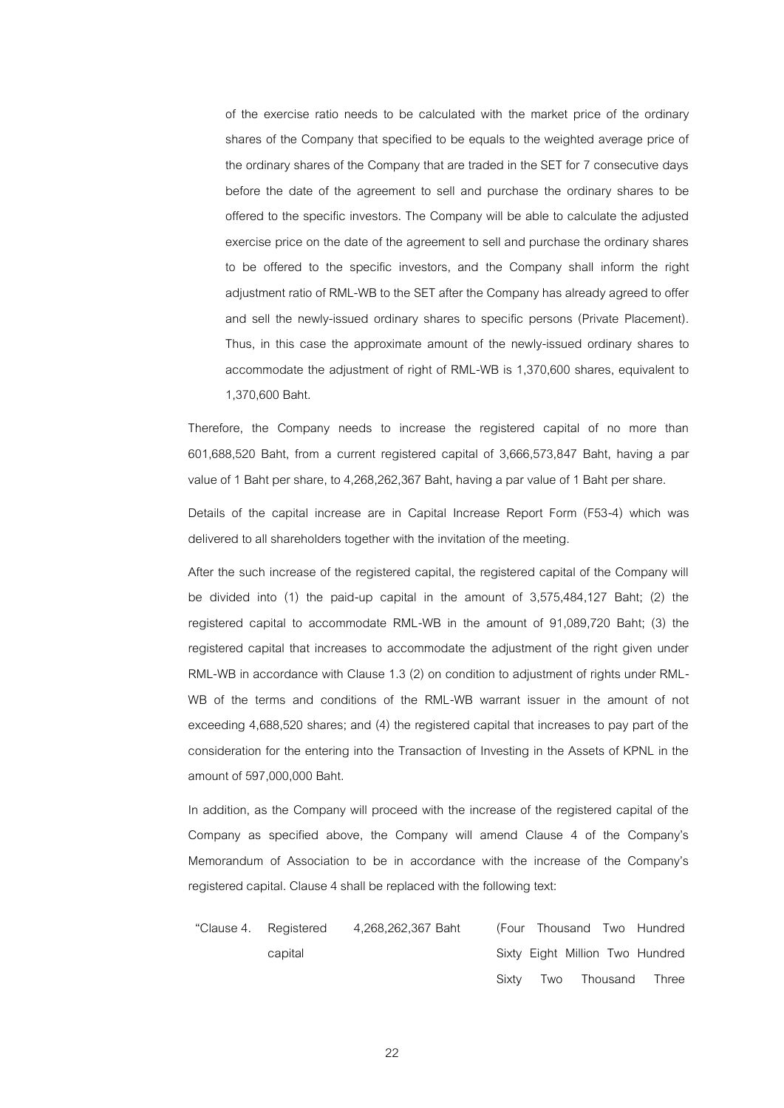of the exercise ratio needs to be calculated with the market price of the ordinary shares of the Company that specified to be equals to the weighted average price of the ordinary shares of the Company that are traded in the SET for 7 consecutive days before the date of the agreement to sell and purchase the ordinary shares to be offered to the specific investors. The Company will be able to calculate the adjusted exercise price on the date of the agreement to sell and purchase the ordinary shares to be offered to the specific investors, and the Company shall inform the right adjustment ratio of RML-WB to the SET after the Company has already agreed to offer and sell the newly-issued ordinary shares to specific persons (Private Placement). Thus, in this case the approximate amount of the newly-issued ordinary shares to accommodate the adjustment of right of RML-WB is 1,370,600 shares, equivalent to 1,370,600 Baht.

Therefore, the Company needs to increase the registered capital of no more than 601,688,520 Baht, from a current registered capital of 3,666,573,847 Baht, having a par value of 1 Baht per share, to 4,268,262,367 Baht, having a par value of 1 Baht per share.

Details of the capital increase are in Capital Increase Report Form (F53-4) which was delivered to all shareholders together with the invitation of the meeting.

After the such increase of the registered capital, the registered capital of the Company will be divided into (1) the paid-up capital in the amount of 3,575,484,127 Baht; (2) the registered capital to accommodate RML-WB in the amount of 91,089,720 Baht; (3) the registered capital that increases to accommodate the adjustment of the right given under RML-WB in accordance with Clause 1.3 (2) on condition to adjustment of rights under RML-WB of the terms and conditions of the RML-WB warrant issuer in the amount of not exceeding 4,688,520 shares; and (4) the registered capital that increases to pay part of the consideration for the entering into the Transaction of Investing in the Assets of KPNL in the amount of 597,000,000 Baht.

In addition, as the Company will proceed with the increase of the registered capital of the Company as specified above, the Company will amend Clause 4 of the Company's Memorandum of Association to be in accordance with the increase of the Company's registered capital. Clause 4 shall be replaced with the following text:

"Clause 4. Registered 4,268,262,367 Baht capital (Four Thousand Two Hundred Sixty Eight Million Two Hundred Sixty Two Thousand Three

22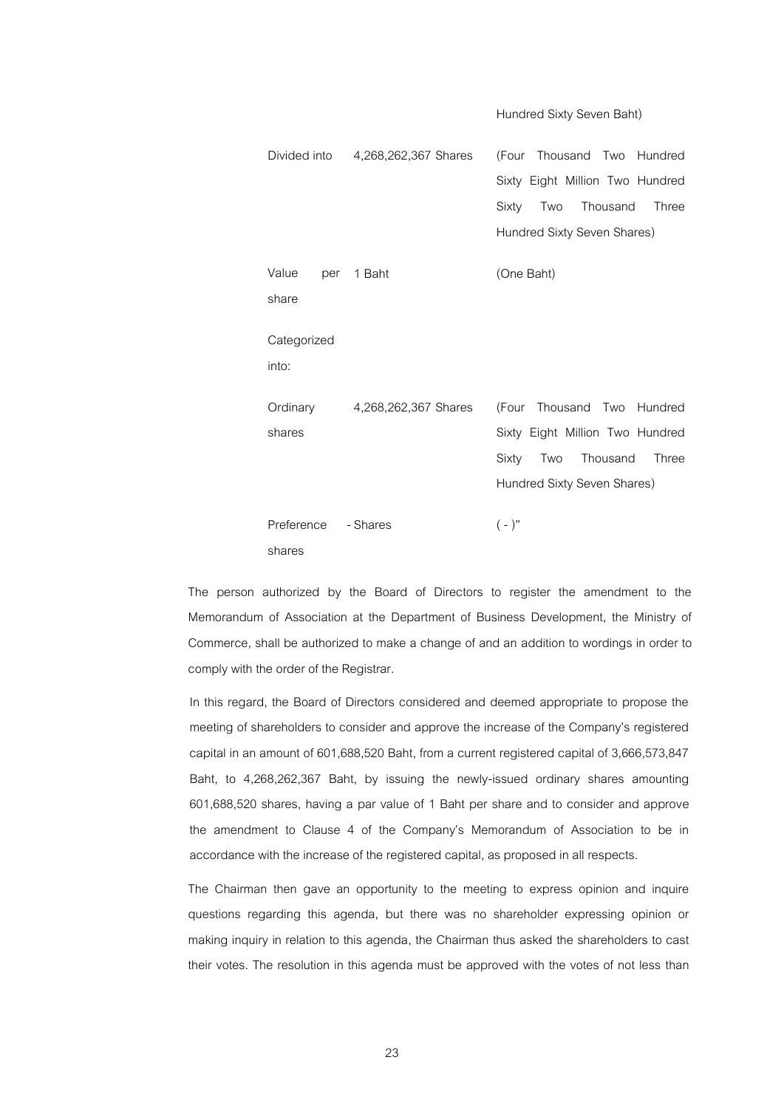Divided into 4,268,262,367 Shares (Four Thousand Two Hundred Sixty Eight Million Two Hundred Sixty Two Thousand Three Hundred Sixty Seven Shares) Value per share 1 Baht (One Baht) Categorized into: **Ordinary** shares 4,268,262,367 Shares (Four Thousand Two Hundred Sixty Eight Million Two Hundred Sixty Two Thousand Three Hundred Sixty Seven Shares) Preference shares - Shares ( - )"

Hundred Sixty Seven Baht)

The person authorized by the Board of Directors to register the amendment to the Memorandum of Association at the Department of Business Development, the Ministry of Commerce, shall be authorized to make a change of and an addition to wordings in order to comply with the order of the Registrar.

In this regard, the Board of Directors considered and deemed appropriate to propose the meeting of shareholders to consider and approve the increase of the Company's registered capital in an amount of 601,688,520 Baht, from a current registered capital of 3,666,573,847 Baht, to 4,268,262,367 Baht, by issuing the newly-issued ordinary shares amounting 601,688,520 shares, having a par value of 1 Baht per share and to consider and approve the amendment to Clause 4 of the Company's Memorandum of Association to be in accordance with the increase of the registered capital, as proposed in all respects.

The Chairman then gave an opportunity to the meeting to express opinion and inquire questions regarding this agenda, but there was no shareholder expressing opinion or making inquiry in relation to this agenda, the Chairman thus asked the shareholders to cast their votes. The resolution in this agenda must be approved with the votes of not less than

23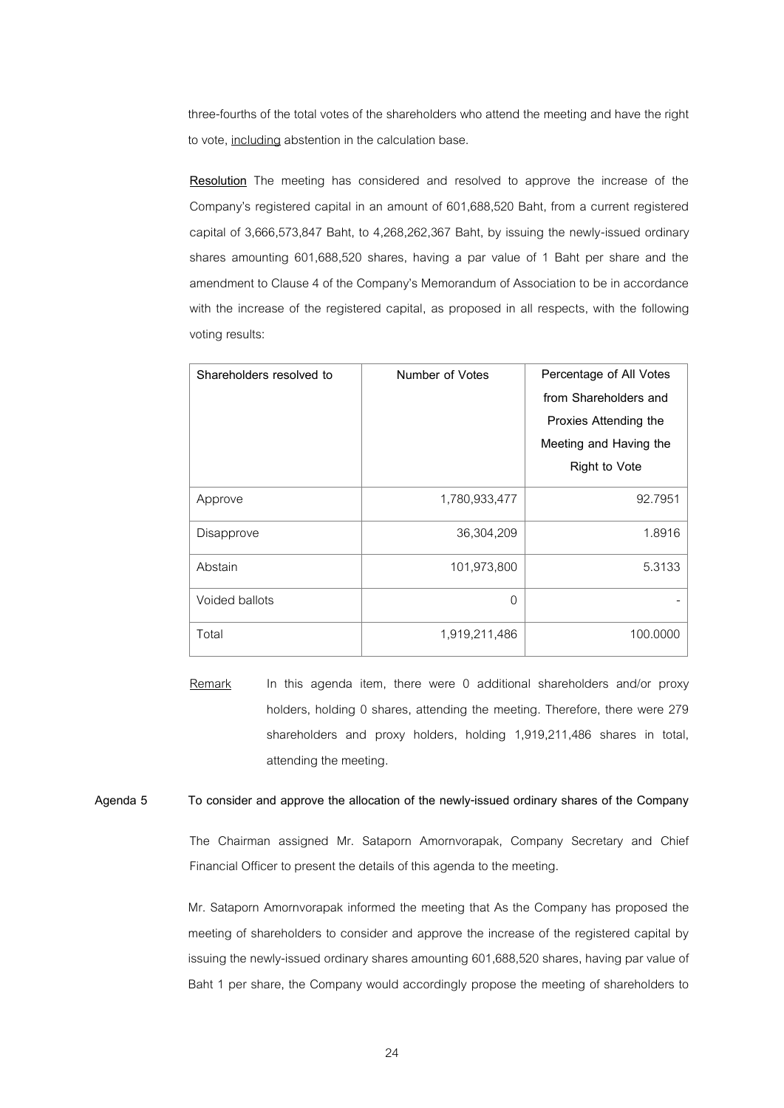three-fourths of the total votes of the shareholders who attend the meeting and have the right to vote, including abstention in the calculation base.

**Resolution** The meeting has considered and resolved to approve the increase of the Company's registered capital in an amount of 601,688,520 Baht, from a current registered capital of 3,666,573,847 Baht, to 4,268,262,367 Baht, by issuing the newly-issued ordinary shares amounting 601,688,520 shares, having a par value of 1 Baht per share and the amendment to Clause 4 of the Company's Memorandum of Association to be in accordance with the increase of the registered capital, as proposed in all respects, with the following voting results:

| Shareholders resolved to | Number of Votes | Percentage of All Votes |
|--------------------------|-----------------|-------------------------|
|                          |                 | from Shareholders and   |
|                          |                 | Proxies Attending the   |
|                          |                 | Meeting and Having the  |
|                          |                 | <b>Right to Vote</b>    |
| Approve                  | 1,780,933,477   | 92.7951                 |
| Disapprove               | 36,304,209      | 1.8916                  |
| Abstain                  | 101,973,800     | 5.3133                  |
| Voided ballots           | $\overline{0}$  |                         |
| Total                    | 1,919,211,486   | 100.0000                |

Remark In this agenda item, there were 0 additional shareholders and/or proxy holders, holding 0 shares, attending the meeting. Therefore, there were 279 shareholders and proxy holders, holding 1,919,211,486 shares in total, attending the meeting.

### **Agenda 5 To consider and approve the allocation of the newly-issued ordinary shares of the Company**

The Chairman assigned Mr. Sataporn Amornvorapak, Company Secretary and Chief Financial Officer to present the details of this agenda to the meeting.

Mr. Sataporn Amornvorapak informed the meeting that As the Company has proposed the meeting of shareholders to consider and approve the increase of the registered capital by issuing the newly-issued ordinary shares amounting 601,688,520 shares, having par value of Baht 1 per share, the Company would accordingly propose the meeting of shareholders to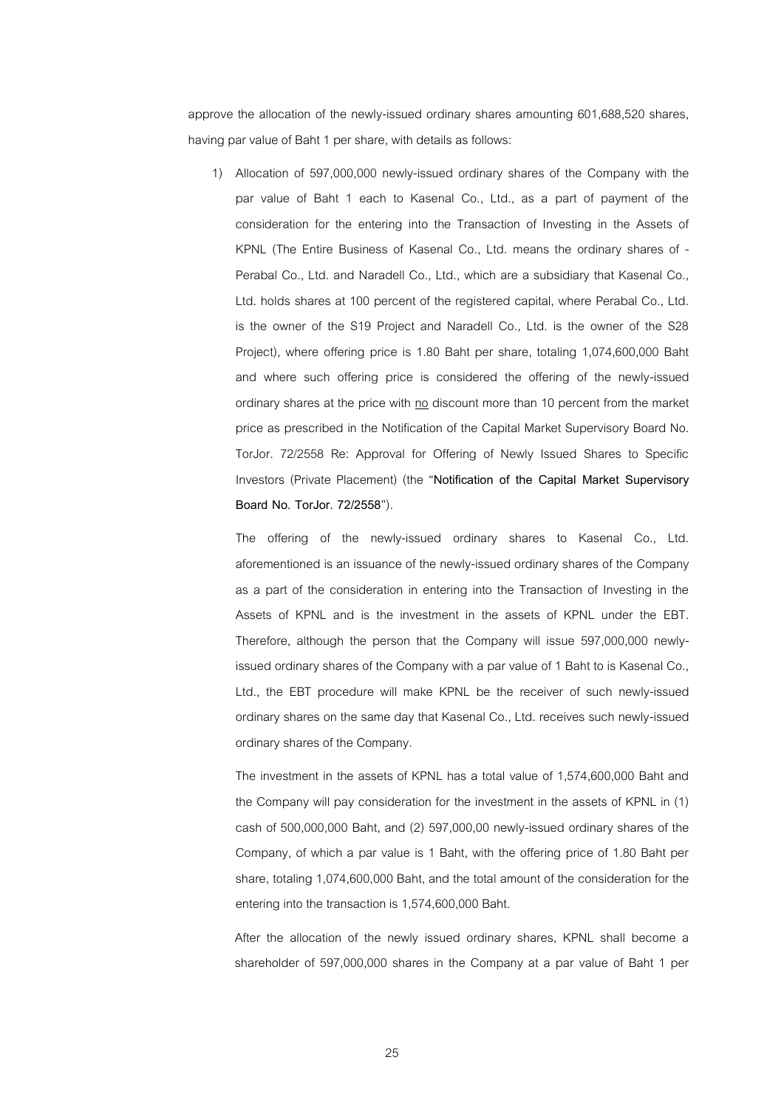approve the allocation of the newly-issued ordinary shares amounting 601,688,520 shares, having par value of Baht 1 per share, with details as follows:

1) Allocation of 597,000,000 newly-issued ordinary shares of the Company with the par value of Baht 1 each to Kasenal Co., Ltd., as a part of payment of the consideration for the entering into the Transaction of Investing in the Assets of KPNL (The Entire Business of Kasenal Co., Ltd. means the ordinary shares of - Perabal Co., Ltd. and Naradell Co., Ltd., which are a subsidiary that Kasenal Co., Ltd. holds shares at 100 percent of the registered capital, where Perabal Co., Ltd. is the owner of the S19 Project and Naradell Co., Ltd. is the owner of the S28 Project), where offering price is 1.80 Baht per share, totaling 1,074,600,000 Baht and where such offering price is considered the offering of the newly-issued ordinary shares at the price with no discount more than 10 percent from the market price as prescribed in the Notification of the Capital Market Supervisory Board No. TorJor. 72/2558 Re: Approval for Offering of Newly Issued Shares to Specific Investors (Private Placement) (the "**Notification of the Capital Market Supervisory Board No. TorJor. 72/2558**").

The offering of the newly-issued ordinary shares to Kasenal Co., Ltd. aforementioned is an issuance of the newly-issued ordinary shares of the Company as a part of the consideration in entering into the Transaction of Investing in the Assets of KPNL and is the investment in the assets of KPNL under the EBT. Therefore, although the person that the Company will issue 597,000,000 newlyissued ordinary shares of the Company with a par value of 1 Baht to is Kasenal Co., Ltd., the EBT procedure will make KPNL be the receiver of such newly-issued ordinary shares on the same day that Kasenal Co., Ltd. receives such newly-issued ordinary shares of the Company.

The investment in the assets of KPNL has a total value of 1,574,600,000 Baht and the Company will pay consideration for the investment in the assets of KPNL in (1) cash of 500,000,000 Baht, and (2) 597,000,00 newly-issued ordinary shares of the Company, of which a par value is 1 Baht, with the offering price of 1.80 Baht per share, totaling 1,074,600,000 Baht, and the total amount of the consideration for the entering into the transaction is 1,574,600,000 Baht.

After the allocation of the newly issued ordinary shares, KPNL shall become a shareholder of 597,000,000 shares in the Company at a par value of Baht 1 per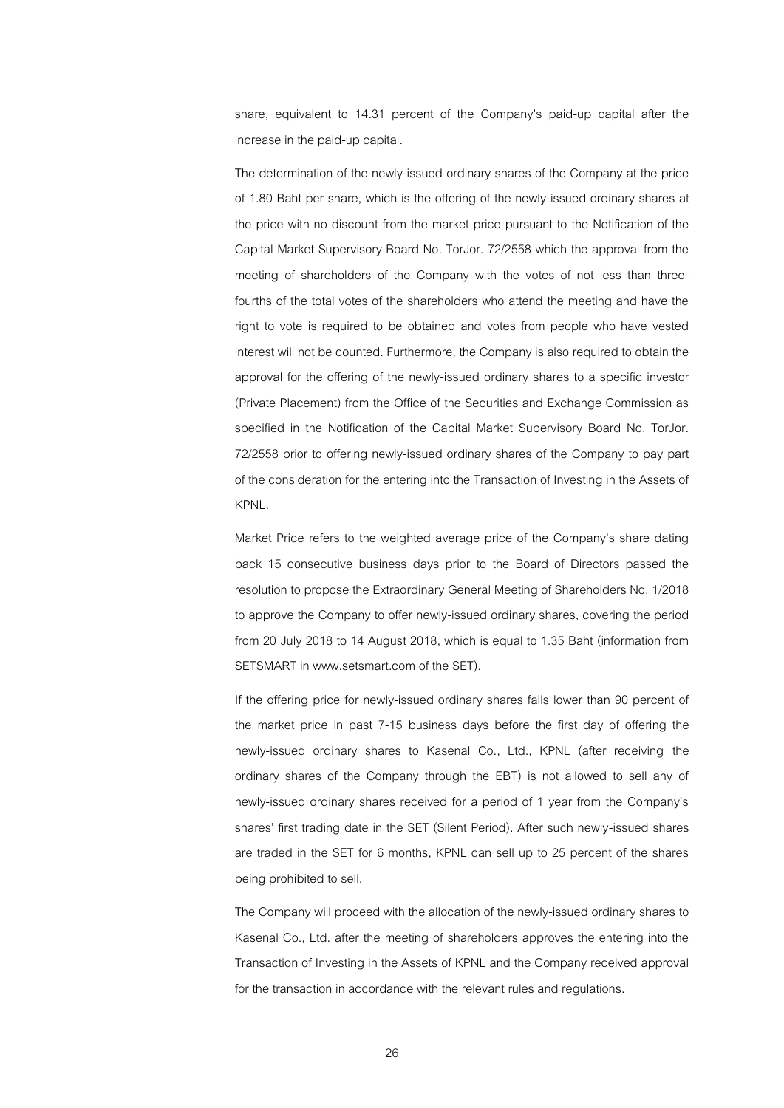share, equivalent to 14.31 percent of the Company's paid-up capital after the increase in the paid-up capital.

The determination of the newly-issued ordinary shares of the Company at the price of 1.80 Baht per share, which is the offering of the newly-issued ordinary shares at the price with no discount from the market price pursuant to the Notification of the Capital Market Supervisory Board No. TorJor. 72/2558 which the approval from the meeting of shareholders of the Company with the votes of not less than threefourths of the total votes of the shareholders who attend the meeting and have the right to vote is required to be obtained and votes from people who have vested interest will not be counted. Furthermore, the Company is also required to obtain the approval for the offering of the newly-issued ordinary shares to a specific investor (Private Placement) from the Office of the Securities and Exchange Commission as specified in the Notification of the Capital Market Supervisory Board No. TorJor. 72/2558 prior to offering newly-issued ordinary shares of the Company to pay part of the consideration for the entering into the Transaction of Investing in the Assets of KPNL.

Market Price refers to the weighted average price of the Company's share dating back 15 consecutive business days prior to the Board of Directors passed the resolution to propose the Extraordinary General Meeting of Shareholders No. 1/2018 to approve the Company to offer newly-issued ordinary shares, covering the period from 20 July 2018 to 14 August 2018, which is equal to 1.35 Baht (information from SETSMART in www.setsmart.com of the SET).

If the offering price for newly-issued ordinary shares falls lower than 90 percent of the market price in past 7-15 business days before the first day of offering the newly-issued ordinary shares to Kasenal Co., Ltd., KPNL (after receiving the ordinary shares of the Company through the EBT) is not allowed to sell any of newly-issued ordinary shares received for a period of 1 year from the Company's shares' first trading date in the SET (Silent Period). After such newly-issued shares are traded in the SET for 6 months, KPNL can sell up to 25 percent of the shares being prohibited to sell.

The Company will proceed with the allocation of the newly-issued ordinary shares to Kasenal Co., Ltd. after the meeting of shareholders approves the entering into the Transaction of Investing in the Assets of KPNL and the Company received approval for the transaction in accordance with the relevant rules and regulations.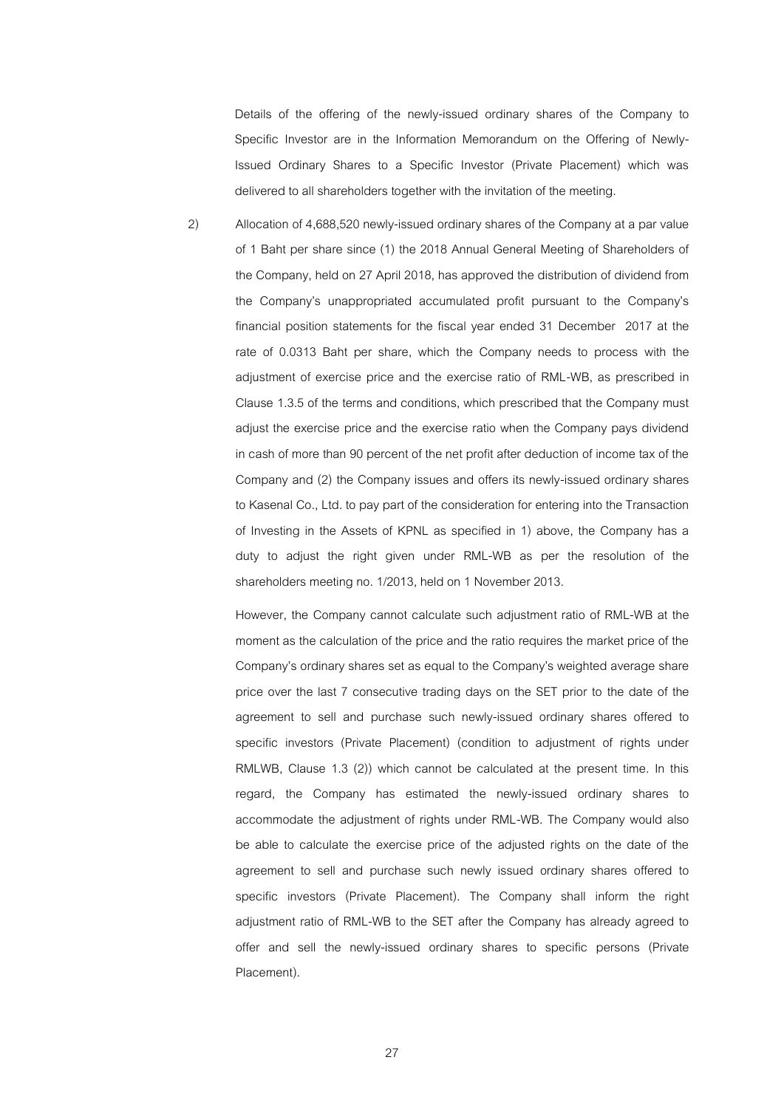Details of the offering of the newly-issued ordinary shares of the Company to Specific Investor are in the Information Memorandum on the Offering of Newly-Issued Ordinary Shares to a Specific Investor (Private Placement) which was delivered to all shareholders together with the invitation of the meeting.

2) Allocation of 4,688,520 newly-issued ordinary shares of the Company at a par value of 1 Baht per share since (1) the 2018 Annual General Meeting of Shareholders of the Company, held on 27 April 2018, has approved the distribution of dividend from the Company's unappropriated accumulated profit pursuant to the Company's financial position statements for the fiscal year ended 31 December 2017 at the rate of 0.0313 Baht per share, which the Company needs to process with the adjustment of exercise price and the exercise ratio of RML-WB, as prescribed in Clause 1.3.5 of the terms and conditions, which prescribed that the Company must adjust the exercise price and the exercise ratio when the Company pays dividend in cash of more than 90 percent of the net profit after deduction of income tax of the Company and (2) the Company issues and offers its newly-issued ordinary shares to Kasenal Co., Ltd. to pay part of the consideration for entering into the Transaction of Investing in the Assets of KPNL as specified in 1) above, the Company has a duty to adjust the right given under RML-WB as per the resolution of the shareholders meeting no. 1/2013, held on 1 November 2013.

However, the Company cannot calculate such adjustment ratio of RML-WB at the moment as the calculation of the price and the ratio requires the market price of the Company's ordinary shares set as equal to the Company's weighted average share price over the last 7 consecutive trading days on the SET prior to the date of the agreement to sell and purchase such newly-issued ordinary shares offered to specific investors (Private Placement) (condition to adjustment of rights under RMLWB, Clause 1.3 (2)) which cannot be calculated at the present time. In this regard, the Company has estimated the newly-issued ordinary shares to accommodate the adjustment of rights under RML-WB. The Company would also be able to calculate the exercise price of the adjusted rights on the date of the agreement to sell and purchase such newly issued ordinary shares offered to specific investors (Private Placement). The Company shall inform the right adjustment ratio of RML-WB to the SET after the Company has already agreed to offer and sell the newly-issued ordinary shares to specific persons (Private Placement).

27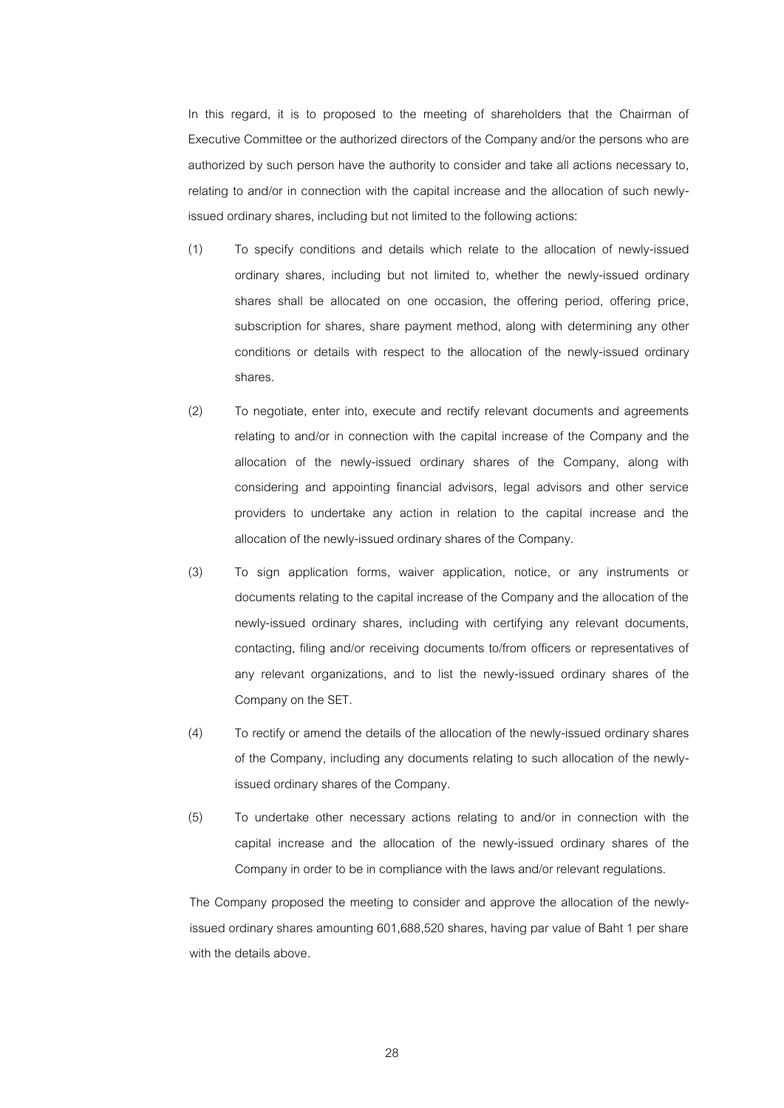In this regard, it is to proposed to the meeting of shareholders that the Chairman of Executive Committee or the authorized directors of the Company and/or the persons who are authorized by such person have the authority to consider and take all actions necessary to, relating to and/or in connection with the capital increase and the allocation of such newlyissued ordinary shares, including but not limited to the following actions:

- (1) To specify conditions and details which relate to the allocation of newly-issued ordinary shares, including but not limited to, whether the newly-issued ordinary shares shall be allocated on one occasion, the offering period, offering price, subscription for shares, share payment method, along with determining any other conditions or details with respect to the allocation of the newly-issued ordinary shares.
- (2) To negotiate, enter into, execute and rectify relevant documents and agreements relating to and/or in connection with the capital increase of the Company and the allocation of the newly-issued ordinary shares of the Company, along with considering and appointing financial advisors, legal advisors and other service providers to undertake any action in relation to the capital increase and the allocation of the newly-issued ordinary shares of the Company.
- (3) To sign application forms, waiver application, notice, or any instruments or documents relating to the capital increase of the Company and the allocation of the newly-issued ordinary shares, including with certifying any relevant documents, contacting, filing and/or receiving documents to/from officers or representatives of any relevant organizations, and to list the newly-issued ordinary shares of the Company on the SET.
- (4) To rectify or amend the details of the allocation of the newly-issued ordinary shares of the Company, including any documents relating to such allocation of the newlyissued ordinary shares of the Company.
- (5) To undertake other necessary actions relating to and/or in connection with the capital increase and the allocation of the newly-issued ordinary shares of the Company in order to be in compliance with the laws and/or relevant regulations.

The Company proposed the meeting to consider and approve the allocation of the newlyissued ordinary shares amounting 601,688,520 shares, having par value of Baht 1 per share with the details above.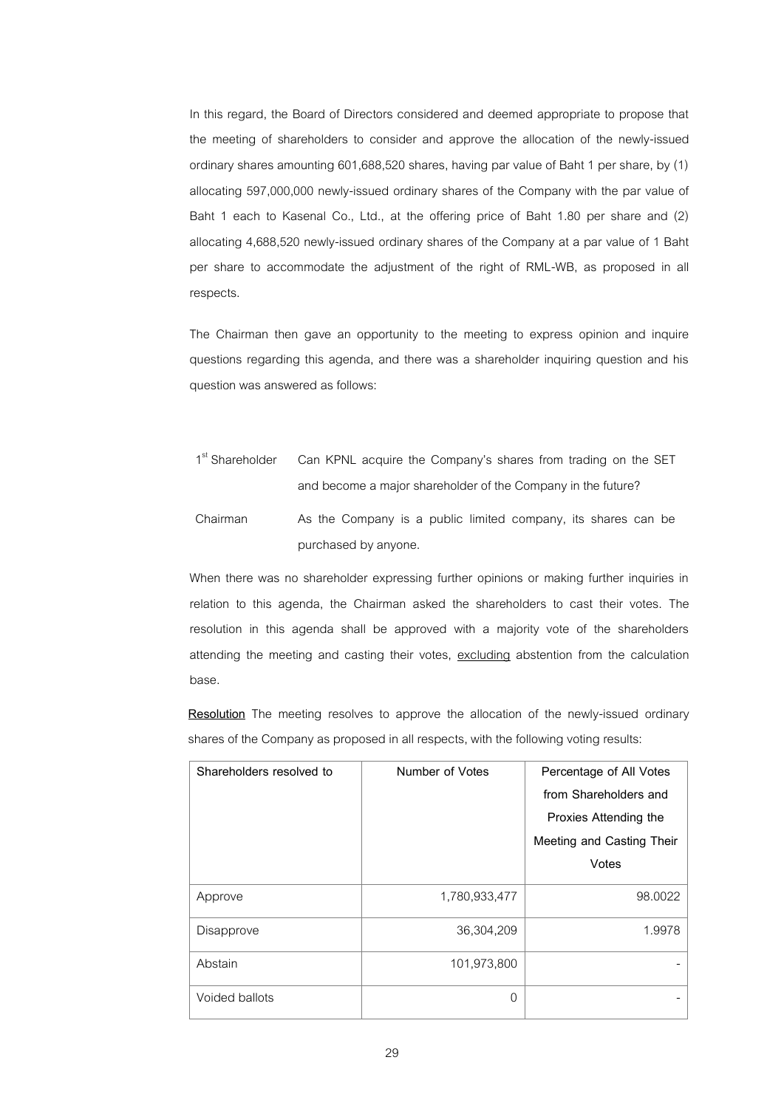In this regard, the Board of Directors considered and deemed appropriate to propose that the meeting of shareholders to consider and approve the allocation of the newly-issued ordinary shares amounting 601,688,520 shares, having par value of Baht 1 per share, by (1) allocating 597,000,000 newly-issued ordinary shares of the Company with the par value of Baht 1 each to Kasenal Co., Ltd., at the offering price of Baht 1.80 per share and (2) allocating 4,688,520 newly-issued ordinary shares of the Company at a par value of 1 Baht per share to accommodate the adjustment of the right of RML-WB, as proposed in all respects.

The Chairman then gave an opportunity to the meeting to express opinion and inquire questions regarding this agenda, and there was a shareholder inquiring question and his question was answered as follows:

1<sup>st</sup> Shareholder Can KPNL acquire the Company's shares from trading on the SET and become a major shareholder of the Company in the future? Chairman As the Company is a public limited company, its shares can be purchased by anyone.

When there was no shareholder expressing further opinions or making further inquiries in relation to this agenda, the Chairman asked the shareholders to cast their votes. The resolution in this agenda shall be approved with a majority vote of the shareholders attending the meeting and casting their votes, excluding abstention from the calculation base.

**Resolution** The meeting resolves to approve the allocation of the newly-issued ordinary shares of the Company as proposed in all respects, with the following voting results:

| Shareholders resolved to | Number of Votes | Percentage of All Votes<br>from Shareholders and<br>Proxies Attending the<br>Meeting and Casting Their<br>Votes |
|--------------------------|-----------------|-----------------------------------------------------------------------------------------------------------------|
| Approve                  | 1,780,933,477   | 98,0022                                                                                                         |
| Disapprove               | 36,304,209      | 1.9978                                                                                                          |
| Abstain                  | 101,973,800     |                                                                                                                 |
| Voided ballots           | $\Omega$        |                                                                                                                 |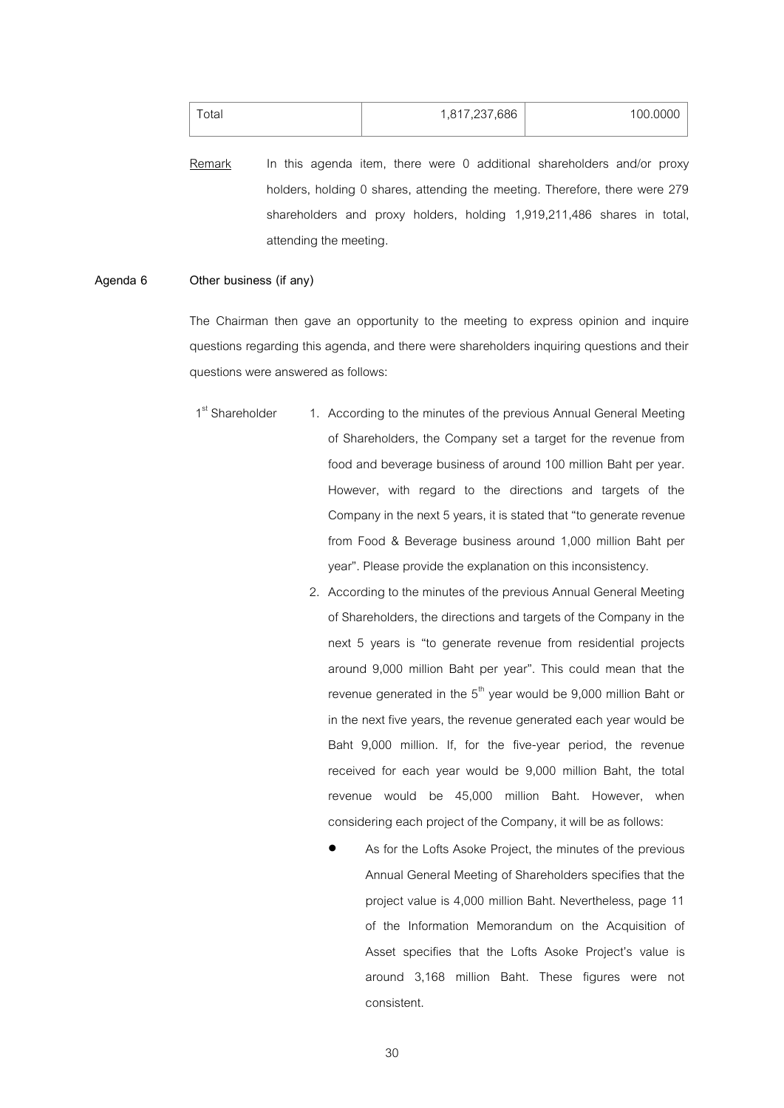| $\tau$ otal | 1,817,237,686 | 100.0000 |
|-------------|---------------|----------|
|             |               |          |

Remark In this agenda item, there were 0 additional shareholders and/or proxy holders, holding 0 shares, attending the meeting. Therefore, there were 279 shareholders and proxy holders, holding 1,919,211,486 shares in total, attending the meeting.

## **Agenda 6 Other business (if any)**

The Chairman then gave an opportunity to the meeting to express opinion and inquire questions regarding this agenda, and there were shareholders inquiring questions and their questions were answered as follows:

- 1<sup>st</sup> Shareholder 1. According to the minutes of the previous Annual General Meeting of Shareholders, the Company set a target for the revenue from food and beverage business of around 100 million Baht per year. However, with regard to the directions and targets of the Company in the next 5years, it is stated that "to generate revenue from Food & Beverage business around 1,000 million Baht per year". Please provide the explanation on this inconsistency.
	- 2. According to the minutes of the previous Annual General Meeting of Shareholders, the directions and targets of the Company in the next 5 years is "to generate revenue from residential projects around 9,000 million Baht per year". This could mean that the revenue generated in the  $5<sup>th</sup>$  year would be 9,000 million Baht or in the next five years, the revenue generated each year would be Baht 9,000 million. If, for the five-year period, the revenue received for each year would be 9,000 million Baht, the total revenue would be 45,000 million Baht. However, when considering each project of the Company, it will be as follows:
		- As for the Lofts Asoke Project, the minutes of the previous Annual General Meeting of Shareholders specifies that the project value is 4,000 million Baht. Nevertheless, page 11 of the Information Memorandum on the Acquisition of Asset specifies that the Lofts Asoke Project's value is around 3,168 million Baht. These figures were not consistent.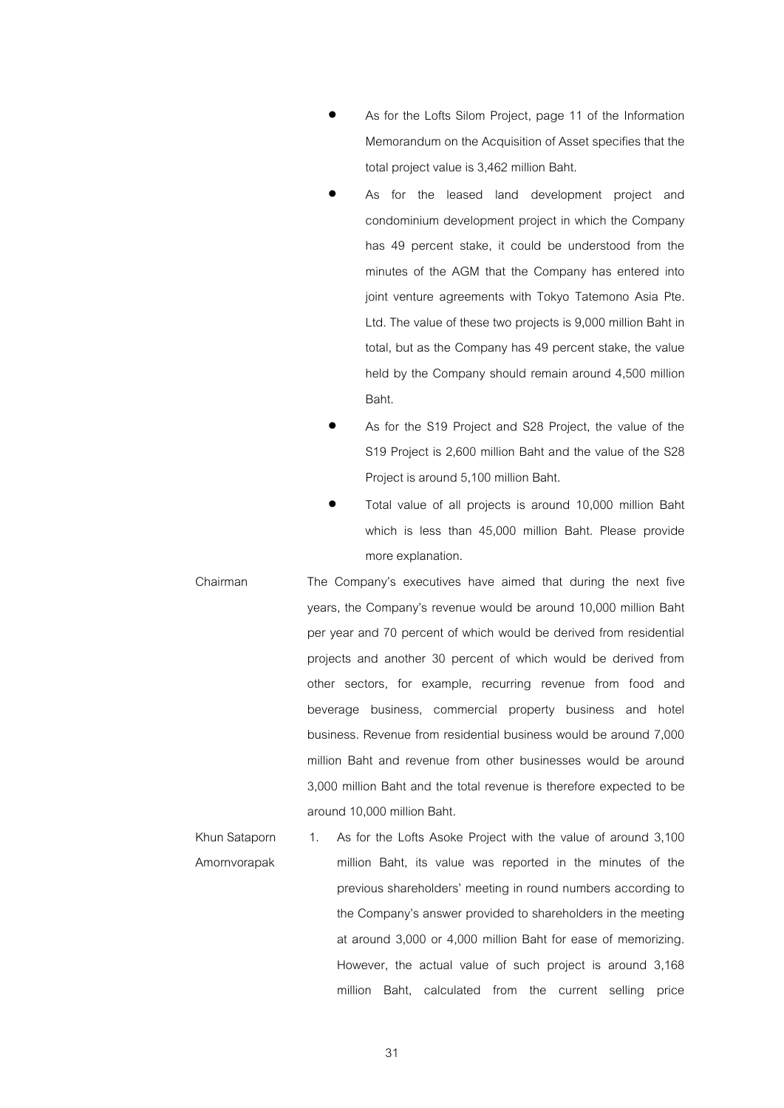- As for the Lofts Silom Project, page 11 of the Information Memorandum on the Acquisition of Asset specifies that the total project value is 3,462 million Baht.
- As for the leased land development project and condominium development project in which the Company has 49 percent stake, it could be understood from the minutes of the AGM that the Company has entered into joint venture agreements with Tokyo Tatemono Asia Pte. Ltd. The value of these two projects is 9,000 million Baht in total, but as the Company has 49 percent stake, the value held by the Company should remain around 4,500 million Baht.
- As for the S19 Project and S28 Project, the value of the S19 Project is 2,600 million Baht and the value of the S28 Project is around 5,100 million Baht.
- Total value of all projects is around 10,000 million Baht which is less than 45,000 million Baht. Please provide more explanation.
- Chairman The Company's executives have aimed that during the next five years, the Company's revenue would be around 10,000 million Baht per year and 70 percent of which would be derived from residential projects and another 30 percent of which would be derived from other sectors, for example, recurring revenue from food and beverage business, commercial property business and hotel business. Revenue from residential business would be around 7,000 million Baht and revenue from other businesses would be around 3,000 million Baht and the total revenue is therefore expected to be around 10,000 million Baht.
- Khun Sataporn Amornvorapak 1. As for the Lofts Asoke Project with the value of around 3,100 million Baht, its value was reported in the minutes of the previous shareholders' meeting in round numbers according to the Company's answer provided to shareholders in the meeting at around 3,000 or 4,000 million Baht for ease of memorizing. However, the actual value of such project is around 3,168 million Baht, calculated from the current selling price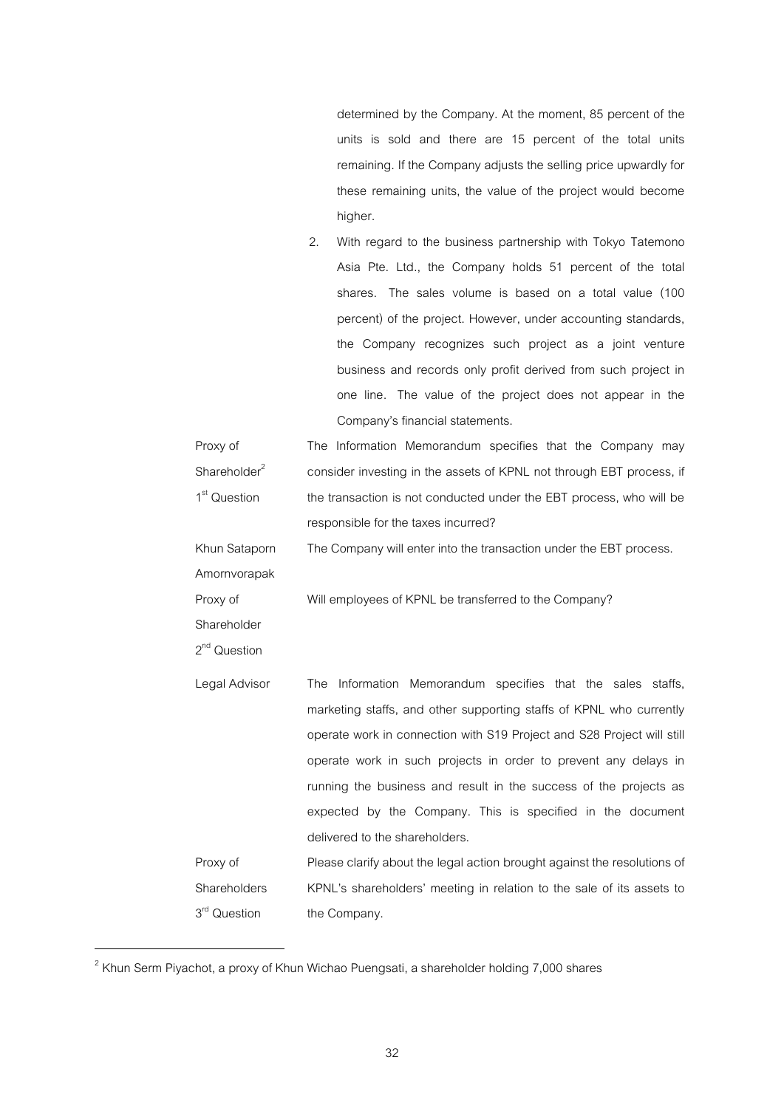determined by the Company. At the moment, 85 percent of the units is sold and there are 15 percent of the total units remaining. If the Company adjusts the selling price upwardly for these remaining units, the value of the project would become higher.

| 2. | With regard to the business partnership with Tokyo Tatemono   |
|----|---------------------------------------------------------------|
|    | Asia Pte. Ltd., the Company holds 51 percent of the total     |
|    | shares. The sales volume is based on a total value (100       |
|    | percent) of the project. However, under accounting standards, |
|    | the Company recognizes such project as a joint venture        |
|    | business and records only profit derived from such project in |
|    | one line. The value of the project does not appear in the     |
|    | Company's financial statements.                               |

| Proxy of                 | The Information Memorandum specifies that the Company may                |
|--------------------------|--------------------------------------------------------------------------|
| Shareholder <sup>2</sup> | consider investing in the assets of KPNL not through EBT process, if     |
| 1 <sup>st</sup> Question | the transaction is not conducted under the EBT process, who will be      |
|                          | responsible for the taxes incurred?                                      |
| Khun Sataporn            | The Company will enter into the transaction under the EBT process.       |
| Amornvorapak             |                                                                          |
| Proxy of                 | Will employees of KPNL be transferred to the Company?                    |
| Shareholder              |                                                                          |
| 2 <sup>nd</sup> Question |                                                                          |
| Legal Advisor            | Information Memorandum specifies that the sales staffs,<br>The           |
|                          | marketing staffs, and other supporting staffs of KPNL who currently      |
|                          | operate work in connection with S19 Project and S28 Project will still   |
|                          | operate work in such projects in order to prevent any delays in          |
|                          | running the business and result in the success of the projects as        |
|                          | expected by the Company. This is specified in the document               |
|                          | delivered to the shareholders.                                           |
| Proxy of                 | Please clarify about the legal action brought against the resolutions of |
| Shareholders             | KPNL's shareholders' meeting in relation to the sale of its assets to    |
| 3 <sup>rd</sup> Question | the Company.                                                             |

 $^{\text{2}}$  Khun Serm Piyachot, a proxy of Khun Wichao Puengsati, a shareholder holding 7,000 shares

<u>.</u>